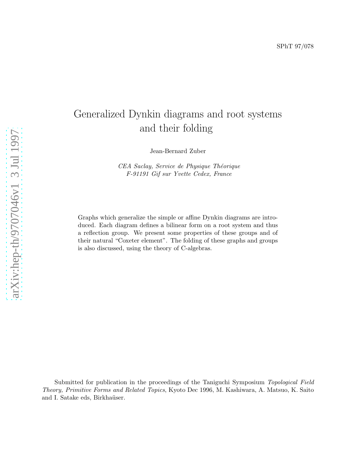# Generalized Dynkin diagrams and root systems and their folding

Jean-Bernard Zuber

CEA Saclay, Service de Physique Théorique F-91191 Gif sur Yvette Cedex, France

Graphs which generalize the simple or affine Dynkin diagrams are introduced. Each diagram defines a bilinear form on a root system and thus a reflection group. We present some properties of these groups and of their natural "Coxeter element". The folding of these graphs and groups is also discussed, using the theory of C-algebras.

Submitted for publication in the proceedings of the Taniguchi Symposium Topological Field Theory, Primitive Forms and Related Topics, Kyoto Dec 1996, M. Kashiwara, A. Matsuo, K. Saito and I. Satake eds, Birkhaüser.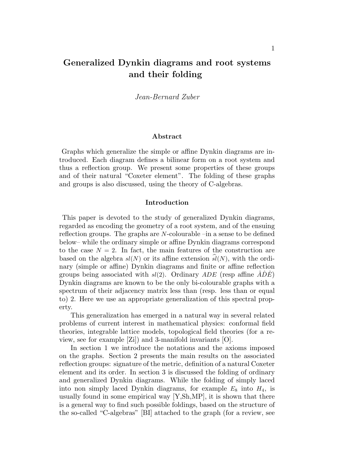# Generalized Dynkin diagrams and root systems and their folding

Jean-Bernard Zuber

#### Abstract

Graphs which generalize the simple or affine Dynkin diagrams are introduced. Each diagram defines a bilinear form on a root system and thus a reflection group. We present some properties of these groups and of their natural "Coxeter element". The folding of these graphs and groups is also discussed, using the theory of C-algebras.

#### Introduction

This paper is devoted to the study of generalized Dynkin diagrams, regarded as encoding the geometry of a root system, and of the ensuing reflection groups. The graphs are N-colourable –in a sense to be defined below– while the ordinary simple or affine Dynkin diagrams correspond to the case  $N = 2$ . In fact, the main features of the construction are based on the algebra  $sl(N)$  or its affine extension  $sl(N)$ , with the ordinary (simple or affine) Dynkin diagrams and finite or affine reflection groups being associated with  $sl(2)$ . Ordinary ADE (resp affine  $\widehat{ADE}$ ) Dynkin diagrams are known to be the only bi-colourable graphs with a spectrum of their adjacency matrix less than (resp. less than or equal to) 2. Here we use an appropriate generalization of this spectral property.

This generalization has emerged in a natural way in several related problems of current interest in mathematical physics: conformal field theories, integrable lattice models, topological field theories (for a review, see for example [Zi]) and 3-manifold invariants [O].

In section 1 we introduce the notations and the axioms imposed on the graphs. Section 2 presents the main results on the associated reflection groups: signature of the metric, definition of a natural Coxeter element and its order. In section 3 is discussed the folding of ordinary and generalized Dynkin diagrams. While the folding of simply laced into non simply laced Dynkin diagrams, for example  $E_8$  into  $H_4$ , is usually found in some empirical way [Y,Sh,MP], it is shown that there is a general way to find such possible foldings, based on the structure of the so-called "C-algebras" [BI] attached to the graph (for a review, see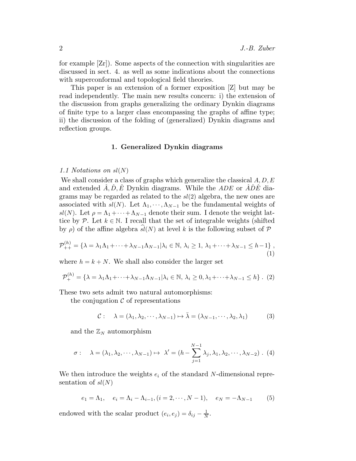for example [Zr]). Some aspects of the connection with singularities are discussed in sect. 4. as well as some indications about the connections with superconformal and topological field theories.

This paper is an extension of a former exposition [Z] but may be read independently. The main new results concern: i) the extension of the discussion from graphs generalizing the ordinary Dynkin diagrams of finite type to a larger class encompassing the graphs of affine type; ii) the discussion of the folding of (generalized) Dynkin diagrams and reflection groups.

## 1. Generalized Dynkin diagrams

#### 1.1 Notations on sl(N)

We shall consider a class of graphs which generalize the classical  $A, D, E$ and extended  $\hat{A}, \hat{D}, \hat{E}$  Dynkin diagrams. While the ADE or  $\hat{A}\hat{D}\hat{E}$  diagrams may be regarded as related to the  $sl(2)$  algebra, the new ones are associated with  $sl(N)$ . Let  $\Lambda_1, \cdots, \Lambda_{N-1}$  be the fundamental weights of sl(N). Let  $\rho = \Lambda_1 + \cdots + \Lambda_{N-1}$  denote their sum. I denote the weight lattice by P. Let  $k \in \mathbb{N}$ . I recall that the set of integrable weights (shifted by  $\rho$ ) of the affine algebra  $sl(N)$  at level k is the following subset of P

$$
\mathcal{P}_{++}^{(h)} = \left\{ \lambda = \lambda_1 \Lambda_1 + \dots + \lambda_{N-1} \Lambda_{N-1} | \lambda_i \in \mathbb{N}, \lambda_i \ge 1, \lambda_1 + \dots + \lambda_{N-1} \le h - 1 \right\},\tag{1}
$$

where  $h = k + N$ . We shall also consider the larger set

$$
\mathcal{P}_{+}^{(h)} = \{ \lambda = \lambda_1 \Lambda_1 + \dots + \lambda_{N-1} \Lambda_{N-1} | \lambda_i \in \mathbb{N}, \lambda_i \ge 0, \lambda_1 + \dots + \lambda_{N-1} \le h \} . (2)
$$

These two sets admit two natural automorphisms:

the conjugation  $\mathcal C$  of representations

$$
C: \quad \lambda = (\lambda_1, \lambda_2, \cdots, \lambda_{N-1}) \mapsto \bar{\lambda} = (\lambda_{N-1}, \cdots, \lambda_2, \lambda_1) \tag{3}
$$

and the  $\mathbb{Z}_N$  automorphism

$$
\sigma: \quad \lambda = (\lambda_1, \lambda_2, \cdots, \lambda_{N-1}) \mapsto \lambda' = (h - \sum_{j=1}^{N-1} \lambda_j, \lambda_1, \lambda_2, \cdots, \lambda_{N-2}). \tag{4}
$$

We then introduce the weights  $e_i$  of the standard N-dimensional representation of  $sl(N)$ 

$$
e_1 = \Lambda_1
$$
,  $e_i = \Lambda_i - \Lambda_{i-1}$ ,  $(i = 2, \dots, N - 1)$ ,  $e_N = -\Lambda_{N-1}$  (5)

endowed with the scalar product  $(e_i, e_j) = \delta_{ij} - \frac{1}{N}$  $\frac{1}{N}$ .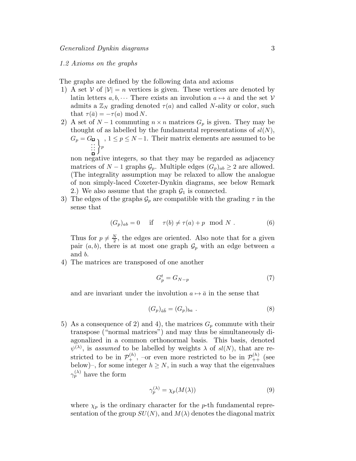## 1.2 Axioms on the graphs

The graphs are defined by the following data and axioms

- 1) A set  $V$  of  $|V| = n$  vertices is given. These vertices are denoted by latin letters  $a, b, \cdots$  There exists an involution  $a \mapsto \overline{a}$  and the set V admits a  $\mathbb{Z}_N$  grading denoted  $\tau(a)$  and called N-ality or color, such that  $\tau(\bar{a}) = -\tau(a) \mod N$ .
- 2) A set of  $N-1$  commuting  $n \times n$  matrices  $G_p$  is given. They may be thought of as labelled by the fundamental representations of  $sl(N)$ ,  $G_p = G_p$ ,  $1 \leq p \leq N-1$ . Their matrix elements are assumed to be . . .  $:\Big\} _p$

non negative integers, so that they may be regarded as adjacency matrices of  $N-1$  graphs  $\mathcal{G}_p$ . Multiple edges  $(G_p)_{ab} \geq 2$  are allowed. (The integrality assumption may be relaxed to allow the analogue of non simply-laced Coxeter-Dynkin diagrams, see below Remark 2.) We also assume that the graph  $\mathcal{G}_1$  is connected.

3) The edges of the graphs  $\mathcal{G}_p$  are compatible with the grading  $\tau$  in the sense that

$$
(G_p)_{ab} = 0 \quad \text{if} \quad \tau(b) \neq \tau(a) + p \mod N . \tag{6}
$$

Thus for  $p \neq \frac{N}{2}$  $\frac{N}{2}$ , the edges are oriented. Also note that for a given pair  $(a, b)$ , there is at most one graph  $\mathcal{G}_p$  with an edge between a and b.

4) The matrices are transposed of one another

$$
G_p^t = G_{N-p} \tag{7}
$$

and are invariant under the involution  $a \mapsto \bar{a}$  in the sense that

$$
(G_p)_{\bar{a}\bar{b}} = (G_p)_{ba} . \tag{8}
$$

5) As a consequence of 2) and 4), the matrices  $G_p$  commute with their transpose ("normal matrices") and may thus be simultaneously diagonalized in a common orthonormal basis. This basis, denoted  $\psi^{(\lambda)}$ , is assumed to be labelled by weights  $\lambda$  of  $sl(N)$ , that are restricted to be in  $\mathcal{P}_+^{(h)}$ ,  $\overline{\ }$  or even more restricted to be in  $\mathcal{P}_{++}^{(h)}$  (see below)–, for some integer  $h \geq N$ , in such a way that the eigenvalues  $\gamma_p^{(\lambda)}$  have the form

$$
\gamma_p^{(\lambda)} = \chi_p(M(\lambda))\tag{9}
$$

where  $\chi_p$  is the ordinary character for the p-th fundamental representation of the group  $SU(N)$ , and  $M(\lambda)$  denotes the diagonal matrix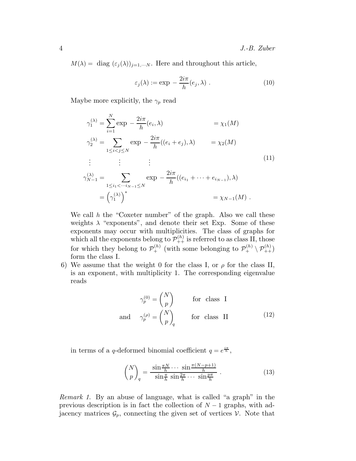$M(\lambda) = \text{diag}(\varepsilon_j(\lambda))_{j=1,\dots,N}$ . Here and throughout this article,

$$
\varepsilon_j(\lambda) := \exp -\frac{2i\pi}{h}(e_j, \lambda) . \tag{10}
$$

Maybe more explicitly, the  $\gamma_p$  read

$$
\gamma_1^{(\lambda)} = \sum_{i=1}^N \exp -\frac{2i\pi}{h} (e_i, \lambda) = \chi_1(M)
$$
  
\n
$$
\gamma_2^{(\lambda)} = \sum_{1 \le i < j \le N} \exp -\frac{2i\pi}{h} (e_i + e_j), \lambda) = \chi_2(M)
$$
  
\n
$$
\vdots \qquad \vdots \qquad \vdots
$$
  
\n
$$
\gamma_{N-1}^{(\lambda)} = \sum_{1 \le i_1 < \dots, i_{N-1} \le N} \exp -\frac{2i\pi}{h} (e_{i_1} + \dots + e_{i_{N-1}}), \lambda)
$$
  
\n
$$
= (\gamma_1^{(\lambda)})^* = \chi_{N-1}(M).
$$
\n(11)

We call  $h$  the "Coxeter number" of the graph. Also we call these weights  $\lambda$  "exponents", and denote their set Exp. Some of these exponents may occur with multiplicities. The class of graphs for which all the exponents belong to  $\mathcal{P}_{++}^{(h)}$  is referred to as class II, those for which they belong to  $\mathcal{P}_+^{(h)}$  (with some belonging to  $\mathcal{P}_+^{(h)} \setminus \mathcal{P}_{++}^{(h)}$ ) form the class I.

6) We assume that the weight 0 for the class I, or  $\rho$  for the class II, is an exponent, with multiplicity 1. The corresponding eigenvalue reads

$$
\gamma_p^{(0)} = \begin{pmatrix} N \\ p \end{pmatrix} \qquad \text{for class I}
$$
  
and 
$$
\gamma_p^{(p)} = \begin{pmatrix} N \\ p \end{pmatrix}_q \qquad \text{for class II} \tag{12}
$$

in terms of a q-deformed binomial coefficient  $q = e^{\frac{i\pi}{h}},$ 

$$
\binom{N}{p}_q = \frac{\sin\frac{\pi N}{h}\cdots\sin\frac{\pi(N-p+1)}{h}}{\sin\frac{\pi}{h}\sin\frac{2\pi}{h}\cdots\sin\frac{p\pi}{h}}\ .\tag{13}
$$

Remark 1. By an abuse of language, what is called "a graph" in the previous description is in fact the collection of  $N-1$  graphs, with adjacency matrices  $\mathcal{G}_p$ , connecting the given set of vertices  $\mathcal{V}$ . Note that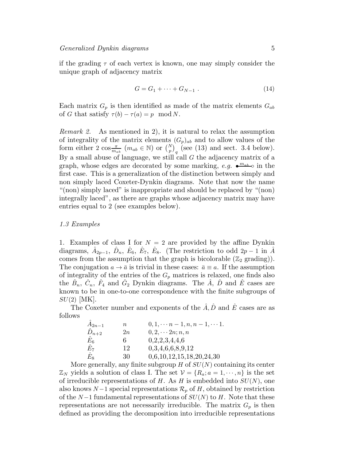if the grading  $\tau$  of each vertex is known, one may simply consider the unique graph of adjacency matrix

$$
G = G_1 + \dots + G_{N-1} \tag{14}
$$

Each matrix  $G_p$  is then identified as made of the matrix elements  $G_{ab}$ of G that satisfy  $\tau(b) - \tau(a) = p \mod N$ .

Remark 2. As mentioned in 2), it is natural to relax the assumption of integrality of the matrix elements  $(G_p)_{ab}$  and to allow values of the form either 2  $\cos \frac{\pi}{m_{ab}}$   $(m_{ab} \in \mathbb{N})$  or  $\binom{N}{p}_q$  (see (13) and sect. 3.4 below). By a small abuse of language, we still call  $G$  the adjacency matrix of a graph, whose edges are decorated by some marking,  $e.g. \bullet^{m_{ab}} \circ$  in the first case. This is a generalization of the distinction between simply and non simply laced Coxeter-Dynkin diagrams. Note that now the name "(non) simply laced" is inappropriate and should be replaced by "(non) integrally laced", as there are graphs whose adjacency matrix may have entries equal to 2 (see examples below).

# 1.3 Examples

1. Examples of class I for  $N = 2$  are provided by the affine Dynkin diagrams,  $\hat{A}_{2p-1}$ ,  $\hat{D}_n$ ,  $\hat{E}_6$ ,  $\hat{E}_7$ ,  $\hat{E}_8$ . (The restriction to odd  $2p-1$  in  $\hat{A}$ comes from the assumption that the graph is bicolorable  $(\mathbb{Z}_2 \text{ grading})$ . The conjugation  $a \to \bar{a}$  is trivial in these cases:  $\bar{a} \equiv a$ . If the assumption of integrality of the entries of the  $G_p$  matrices is relaxed, one finds also the  $\hat{B}_n$ ,  $\hat{C}_n$ ,  $\hat{F}_4$  and  $\hat{G}_2$  Dynkin diagrams. The  $\hat{A}$ ,  $\hat{D}$  and  $\hat{E}$  cases are known to be in one-to-one correspondence with the finite subgroups of  $SU(2)$  |MK|.

The Coxeter number and exponents of the  $\hat{A}, \hat{D}$  and  $\hat{E}$  cases are as follows

| $\hat{A}_{2n-1}$ | $\, n \,$ | $0, 1, \dots n-1, n, n-1, \dots 1.$ |
|------------------|-----------|-------------------------------------|
| $\ddot{D}_{n+2}$ | 2n        | $0, 2, \cdots 2n; n, n$             |
| $\hat{E}_6$      | 6         | 0,2,2,3,4,4,6                       |
| $E_7\,$          | 12        | 0,3,4,6,6,8,9,12                    |
| $\hat{E}_{8}$    | 30        | 0,6,10,12,15,18,20,24,30            |

More generally, any finite subgroup  $H$  of  $SU(N)$  containing its center  $\mathbb{Z}_N$  yields a solution of class I. The set  $\mathcal{V} = \{R_a; a = 1, \dots, n\}$  is the set of irreducible representations of H. As H is embedded into  $SU(N)$ , one also knows  $N-1$  special representations  $\mathcal{R}_p$  of H, obtained by restriction of the  $N-1$  fundamental representations of  $SU(N)$  to H. Note that these representations are not necessarily irreducible. The matrix  $G_p$  is then defined as providing the decomposition into irreducible representations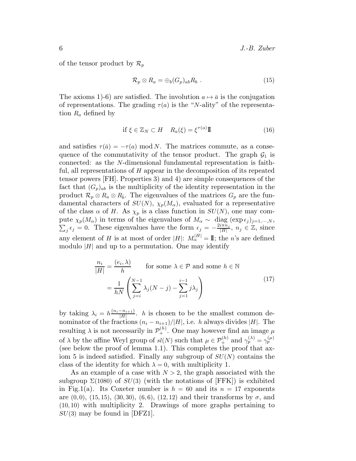of the tensor product by  $\mathcal{R}_p$ 

$$
\mathcal{R}_p \otimes R_a = \bigoplus_b (G_p)_{ab} R_b . \qquad (15)
$$

The axioms 1)-6) are satisfied. The involution  $a \mapsto \bar{a}$  is the conjugation of representations. The grading  $\tau(a)$  is the "N-ality" of the representation  $R_a$  defined by

$$
\text{if } \xi \in \mathbb{Z}_N \subset H \quad R_a(\xi) = \xi^{\tau(a)} \mathbb{I} \tag{16}
$$

and satisfies  $\tau(\bar{a}) = -\tau(a) \mod N$ . The matrices commute, as a consequence of the commutativity of the tensor product. The graph  $\mathcal{G}_1$  is connected: as the N-dimensional fundamental representation is faithful, all representations of H appear in the decomposition of its repeated tensor powers [FH]. Properties 3) and 4) are simple consequences of the fact that  $(G_p)_{ab}$  is the multiplicity of the identity representation in the product  $\mathcal{R}_p \otimes R_a \otimes R_{\bar{b}}$ . The eigenvalues of the matrices  $G_p$  are the fundamental characters of  $SU(N)$ ,  $\chi_p(M_\alpha)$ , evaluated for a representative of the class  $\alpha$  of H. As  $\chi_p$  is a class function in  $SU(N)$ , one may compute  $\chi_p(M_\alpha)$  in terms of the eigenvalues of  $M_\alpha \sim \text{diag}(\exp \epsilon_j)_{j=1,\dots,N}$ ,  $\sum_j \epsilon_j = 0$ . These eigenvalues have the form  $\epsilon_j = -\frac{2i\pi n_j}{|H|}$ ,  $n_j \in \mathbb{Z}$ , since  $\frac{i\pi n_j}{|H|}, n_j \in \mathbb{Z}$ , since any element of H is at most of order  $|H|$ :  $M_{\alpha}^{|H|} = \mathbb{I}$ ; the n's are defined modulo  $|H|$  and up to a permutation. One may identify

$$
\frac{n_i}{|H|} = \frac{(e_i, \lambda)}{h} \quad \text{for some } \lambda \in \mathcal{P} \text{ and some } h \in \mathbb{N}
$$

$$
= \frac{1}{hN} \left( \sum_{j=i}^{N-1} \lambda_j (N-j) - \sum_{j=1}^{i-1} j \lambda_j \right)
$$
(17)

by taking  $\lambda_i = h \frac{(n_i - n_{i+1})}{|H|}$  $\frac{-n_{i+1}}{|H|}$ . *h* is chosen to be the smallest common denominator of the fractions  $(n_i - n_{i+1})/|H|$ , i.e. h always divides |H|. The resulting  $\lambda$  is not necessarily in  $\mathcal{P}_+^{(h)}$ . One may however find an image  $\mu$ of  $\lambda$  by the affine Weyl group of  $sl(N)$  such that  $\mu \in \mathcal{P}_+^{(h)}$  and  $\gamma_p^{(\lambda)} = \gamma_p^{(\mu)}$ (see below the proof of lemma 1.1). This completes the proof that axiom 5 is indeed satisfied. Finally any subgroup of  $SU(N)$  contains the class of the identity for which  $\lambda = 0$ , with multiplicity 1.

As an example of a case with  $N > 2$ , the graph associated with the subgroup  $\Sigma(1080)$  of  $SU(3)$  (with the notations of [FFK]) is exhibited in Fig.1(a). Its Coxeter number is  $h = 60$  and its  $n = 17$  exponents are  $(0, 0)$ ,  $(15, 15)$ ,  $(30, 30)$ ,  $(6, 6)$ ,  $(12, 12)$  and their transforms by  $\sigma$ , and (10, 10) with multiplicity 2. Drawings of more graphs pertaining to  $SU(3)$  may be found in [DFZ1].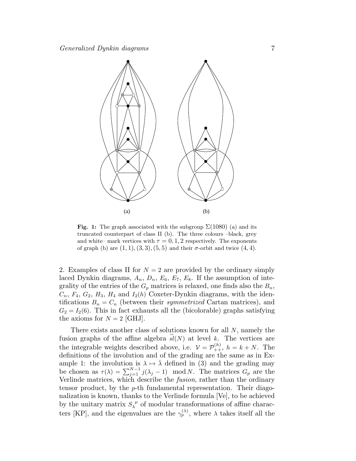

Fig. 1: The graph associated with the subgroup  $\Sigma(1080)$  (a) and its truncated counterpart of class II (b). The three colours –black, grey and white– mark vertices with  $\tau = 0, 1, 2$  respectively. The exponents of graph (b) are  $(1, 1), (3, 3), (5, 5)$  and their  $\sigma$ -orbit and twice  $(4, 4)$ .

2. Examples of class II for  $N = 2$  are provided by the ordinary simply laced Dynkin diagrams,  $A_n$ ,  $D_n$ ,  $E_6$ ,  $E_7$ ,  $E_8$ . If the assumption of integrality of the entries of the  $G_p$  matrices is relaxed, one finds also the  $B_n$ ,  $C_n$ ,  $F_4$ ,  $G_2$ ,  $H_3$ ,  $H_4$  and  $I_2(h)$  Coxeter-Dynkin diagrams, with the identifications  $B_n = C_n$  (between their *symmetrized* Cartan matrices), and  $G_2 = I_2(6)$ . This in fact exhausts all the (bicolorable) graphs satisfying the axioms for  $N = 2$  [GHJ].

There exists another class of solutions known for all N, namely the fusion graphs of the affine algebra  $sl(N)$  at level k. The vertices are the integrable weights described above, i.e.  $\mathcal{V} = \mathcal{P}_{++}^{(h)}$ ,  $h = k + N$ . The definitions of the involution and of the grading are the same as in Example 1: the involution is  $\lambda \mapsto \lambda$  defined in (3) and the grading may be chosen as  $\tau(\lambda) = \sum_{j=1}^{N-1} j(\lambda_j - 1) \mod N$ . The matrices  $G_p$  are the Verlinde matrices, which describe the fusion, rather than the ordinary tensor product, by the p-th fundamental representation. Their diagonalization is known, thanks to the Verlinde formula [Ve], to be achieved by the unitary matrix  $S_{\lambda}^{\ \mu}$  $\lambda^{\mu}$  of modular transformations of affine characters [KP], and the eigenvalues are the  $\gamma_p^{(\lambda)}$ , where  $\lambda$  takes itself all the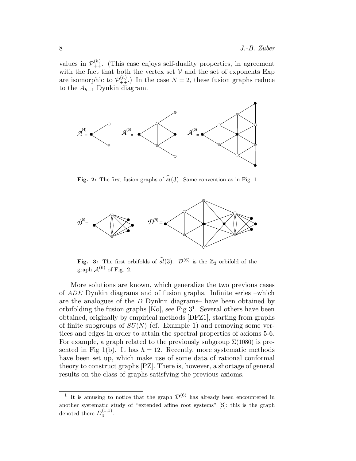values in  $\mathcal{P}_{++}^{(h)}$ . (This case enjoys self-duality properties, in agreement with the fact that both the vertex set  $V$  and the set of exponents Exp are isomorphic to  $\mathcal{P}_{++}^{(h)}$ . In the case  $N=2$ , these fusion graphs reduce to the  $A_{h-1}$  Dynkin diagram.



Fig. 2: The first fusion graphs of  $\widehat{sl}(3)$ . Same convention as in Fig. 1



Fig. 3: The first orbifolds of  $\widehat{sl}(3)$ .  $\mathcal{D}^{(6)}$  is the  $\mathbb{Z}_3$  orbifold of the graph  $\mathcal{A}^{(6)}$  of Fig. 2.

More solutions are known, which generalize the two previous cases of ADE Dynkin diagrams and of fusion graphs. Infinite series –which are the analogues of the D Dynkin diagrams– have been obtained by orbifolding the fusion graphs  $[Ko]$ , see Fig  $3<sup>1</sup>$ . Several others have been obtained, originally by empirical methods [DFZ1], starting from graphs of finite subgroups of  $SU(N)$  (cf. Example 1) and removing some vertices and edges in order to attain the spectral properties of axioms 5-6. For example, a graph related to the previously subgroup  $\Sigma(1080)$  is presented in Fig 1(b). It has  $h = 12$ . Recently, more systematic methods have been set up, which make use of some data of rational conformal theory to construct graphs [PZ]. There is, however, a shortage of general results on the class of graphs satisfying the previous axioms.

<sup>&</sup>lt;sup>1</sup> It is amusing to notice that the graph  $\mathcal{D}^{(6)}$  has already been encountered in another systematic study of "extended affine root systems" [S]: this is the graph denoted there  $D_4^{(1,1)}$  $\frac{(1,1)}{4}$ .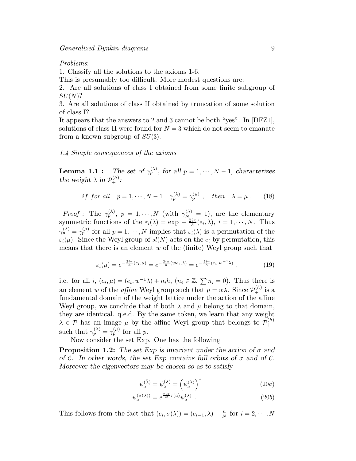Problems:

1. Classify all the solutions to the axioms 1-6.

This is presumably too difficult. More modest questions are:

2. Are all solutions of class I obtained from some finite subgroup of  $SU(N)$ ?

3. Are all solutions of class II obtained by truncation of some solution of class I?

It appears that the answers to 2 and 3 cannot be both "yes". In [DFZ1], solutions of class II were found for  $N = 3$  which do not seem to emanate from a known subgroup of  $SU(3)$ .

#### 1.4 Simple consequences of the axioms

Lemma 1.1 :  $p_p^{(\lambda)}$ , for all  $p = 1, \dots, N - 1$ , characterizes *the weight*  $\lambda$  *in*  $\mathcal{P}_+^{(h)}$ *:* 

if for all 
$$
p = 1, \dots, N-1
$$
  $\gamma_p^{(\lambda)} = \gamma_p^{(\mu)}$ , then  $\lambda = \mu$ . (18)

*Proof*: The  $\gamma_p^{(\lambda)}$ ,  $p = 1, \dots, N$  (with  $\gamma_{N_{\lambda}}^{(\lambda)} = 1$ ), are the elementary symmetric functions of the  $\varepsilon_i(\lambda) = \exp -\frac{2i\pi}{h}$  $\frac{i\pi}{h}(e_i,\lambda), i=1,\cdots,N.$  Thus  $\gamma_p^{(\lambda)} = \gamma_p^{(\mu)}$  for all  $p = 1, \dots, N$  implies that  $\varepsilon_i(\lambda)$  is a permutation of the  $\varepsilon_i(\mu)$ . Since the Weyl group of  $sl(N)$  acts on the  $e_i$  by permutation, this means that there is an element  $w$  of the (finite) Weyl group such that

$$
\varepsilon_i(\mu) = e^{-\frac{2i\pi}{h}(e_i,\mu)} = e^{-\frac{2i\pi}{h}(we_i,\lambda)} = e^{-\frac{2i\pi}{h}(e_i,w^{-1}\lambda)},
$$
\n(19)

i.e. for all  $i, (e_i, \mu) = (e_i, w^{-1}\lambda) + n_i h, (n_i \in \mathbb{Z}, \sum n_i = 0)$ . Thus there is an element  $\tilde{w}$  of the *affine* Weyl group such that  $\mu = \tilde{w}\lambda$ . Since  $\mathcal{P}_+^{(h)}$  is a fundamental domain of the weight lattice under the action of the affine Weyl group, we conclude that if both  $\lambda$  and  $\mu$  belong to that domain, they are identical. q.e.d. By the same token, we learn that any weight  $\lambda \in \mathcal{P}$  has an image  $\mu$  by the affine Weyl group that belongs to  $\mathcal{P}_+^{(h)}$ + such that  $\gamma_p^{(\lambda)} = \gamma_p^{(\mu)}$  for all p.

Now consider the set Exp. One has the following

**Proposition 1.2:** The set Exp is invariant under the action of  $\sigma$  and *of* C. In other words, the set Exp contains full orbits of  $\sigma$  and of C. *Moreover the eigenvectors may be chosen so as to satisfy*

$$
\psi_a^{(\bar{\lambda})} = \psi_{\bar{a}}^{(\lambda)} = \left(\psi_a^{(\lambda)}\right)^* \tag{20a}
$$

$$
\psi_a^{(\sigma(\lambda))} = e^{\frac{2i\pi}{N}\tau(a)}\psi_a^{(\lambda)}.
$$
\n(20b)

This follows from the fact that  $(e_i, \sigma(\lambda)) = (e_{i-1}, \lambda) - \frac{h}{N}$  $\frac{h}{N}$  for  $i = 2, \cdots, N$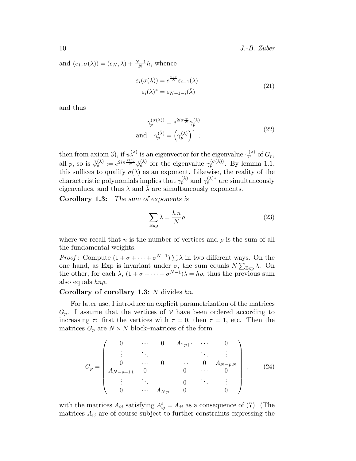and  $(e_1, \sigma(\lambda)) = (e_N, \lambda) + \frac{N-1}{N}h$ , whence

$$
\varepsilon_i(\sigma(\lambda)) = e^{\frac{2i\pi}{N}} \varepsilon_{i-1}(\lambda)
$$
  

$$
\varepsilon_i(\lambda)^* = \varepsilon_{N+1-i}(\bar{\lambda})
$$
 (21)

and thus

$$
\gamma_p^{(\sigma(\lambda))} = e^{2i\pi \frac{p}{N}} \gamma_p^{(\lambda)}
$$
  
and 
$$
\gamma_p^{(\bar{\lambda})} = \left(\gamma_p^{(\lambda)}\right)^* ;
$$
 (22)

then from axiom 3), if  $\psi_a^{(\lambda)}$  is an eigenvector for the eigenvalue  $\gamma_p^{(\lambda)}$  of  $G_p$ , all p, so is  $\tilde{\psi}_a^{(\lambda)} := e^{2i\pi \frac{\tau(a)}{N}} \psi_a^{(\lambda)}$  for the eigenvalue  $\gamma_p^{(\sigma(\lambda))}$ . By lemma 1.1, this suffices to qualify  $\sigma(\lambda)$  as an exponent. Likewise, the reality of the characteristic polynomials implies that  $\gamma_p^{(\lambda)}$  and  $\gamma_p^{(\lambda)*}$  are simultaneously eigenvalues, and thus  $\lambda$  and  $\bar{\lambda}$  are simultaneously exponents.

Corollary 1.3: *The sum of exponents is*

$$
\sum_{\text{Exp}} \lambda = \frac{h \, n}{N} \rho \tag{23}
$$

where we recall that *n* is the number of vertices and  $\rho$  is the sum of all the fundamental weights.

*Proof*: Compute  $(1 + \sigma + \cdots + \sigma^{N-1}) \sum \lambda$  in two different ways. On the one hand, as Exp is invariant under  $\sigma$ , the sum equals  $N \sum_{\exp} \lambda$ . On the other, for each  $\lambda$ ,  $(1 + \sigma + \cdots + \sigma^{N-1})\lambda = h\rho$ , thus the previous sum also equals  $hn\rho$ .

# Corollary of corollary 1.3: N divides  $hn$ .

For later use, I introduce an explicit parametrization of the matrices  $G_p$ . I assume that the vertices of  $\mathcal V$  have been ordered according to increasing  $\tau$ : first the vertices with  $\tau = 0$ , then  $\tau = 1$ , etc. Then the matrices  $G_p$  are  $N \times N$  block–matrices of the form

$$
G_p = \begin{pmatrix} 0 & \cdots & 0 & A_{1p+1} & \cdots & 0 \\ \vdots & \ddots & & & \ddots & \vdots \\ 0 & \cdots & 0 & \cdots & 0 & A_{N-pN} \\ A_{N-p+11} & 0 & & 0 & \cdots & 0 \\ \vdots & \ddots & & 0 & \ddots & \vdots \\ 0 & \cdots & A_{Np} & 0 & & 0 \end{pmatrix}, \quad (24)
$$

with the matrices  $A_{ij}$  satisfying  $A_{ij}^t = A_{ji}$  as a consequence of (7). (The matrices  $A_{ij}$  are of course subject to further constraints expressing the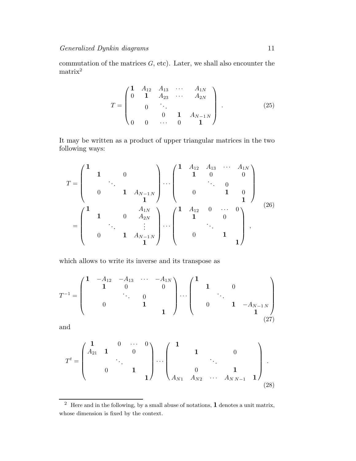commutation of the matrices  $G$ , etc). Later, we shall also encounter the  $\rm matrix^2$ 

$$
T = \begin{pmatrix} \mathbf{1} & A_{12} & A_{13} & \cdots & A_{1N} \\ 0 & \mathbf{1} & A_{23} & \cdots & A_{2N} \\ & & \ddots & & \\ 0 & 0 & \cdots & 0 & \mathbf{1} \end{pmatrix} .
$$
 (25)

It may be written as a product of upper triangular matrices in the two following ways:

$$
T = \begin{pmatrix} 1 & & & & & \\ & 1 & & 0 & & \\ & & \ddots & & & \\ & & & 1 & A_{N-1 N} & \\ & & & & 1 & \\ & & & & & 1 \end{pmatrix} \cdots \begin{pmatrix} 1 & A_{12} & A_{13} & \cdots & A_{1N} \\ & 1 & 0 & & 0 \\ & & \ddots & & 0 & \\ & & & 1 & 0 & \\ & & & & 1 \end{pmatrix}
$$

$$
= \begin{pmatrix} 1 & & & & & \\ & 1 & & 0 & A_{2N} & & \\ & & \ddots & & \vdots & \\ & & & 1 & A_{N-1 N} & \\ & & & & 1 \end{pmatrix} \cdots \begin{pmatrix} 1 & A_{12} & 0 & \cdots & 0 \\ & 1 & & 0 & \\ & & \ddots & & \\ & & & & 1 \end{pmatrix},
$$
 (26)

which allows to write its inverse and its transpose as

$$
T^{-1} = \begin{pmatrix} 1 & -A_{12} & -A_{13} & \cdots & -A_{1N} \\ & 1 & 0 & & 0 \\ & & \ddots & 0 & & \\ & & & 1 & & \\ & & & & 1 \end{pmatrix} \cdots \begin{pmatrix} 1 & & & & \\ & 1 & & 0 & & \\ & & \ddots & & \\ & & & 1 & -A_{N-1N} \\ & & & & 1 \end{pmatrix}
$$
 (27)

and

$$
T^{t} = \begin{pmatrix} 1 & 0 & \cdots & 0 \\ A_{21} & 1 & & 0 \\ & & \ddots & & \\ & & & 1 & \\ & & & & 1 \end{pmatrix} \cdots \begin{pmatrix} 1 & & & & \\ & 1 & & 0 & \\ & & \ddots & & \\ & & & 0 & & 1 \\ A_{N1} & A_{N2} & \cdots & A_{NN-1} & 1 \end{pmatrix} .
$$
 (28)

 $\overline{2}$  Here and in the following, by a small abuse of notations, **1** denotes a unit matrix, whose dimension is fixed by the context.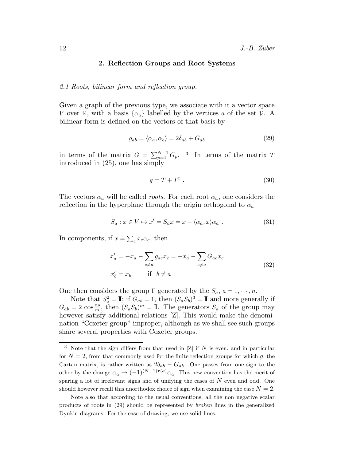# 2. Reflection Groups and Root Systems

## 2.1 Roots, bilinear form and reflection group.

Given a graph of the previous type, we associate with it a vector space V over R, with a basis  $\{\alpha_a\}$  labelled by the vertices a of the set V. A bilinear form is defined on the vectors of that basis by

$$
g_{ab} = \langle \alpha_a, \alpha_b \rangle = 2\delta_{ab} + G_{ab} \tag{29}
$$

in terms of the matrix  $G = \sum_{p=1}^{N-1} G_p$ . <sup>3</sup> In terms of the matrix T introduced in (25), one has simply

$$
g = T + T^t \tag{30}
$$

The vectors  $\alpha_a$  will be called *roots*. For each root  $\alpha_a$ , one considers the reflection in the hyperplane through the origin orthogonal to  $\alpha_a$ 

$$
S_a: x \in V \mapsto x' = S_a x = x - \langle \alpha_a, x \rangle \alpha_a . \tag{31}
$$

In components, if  $x = \sum_{c} x_c \alpha_c$ , then

$$
x'_a = -x_a - \sum_{c \neq a} g_{ac} x_c = -x_a - \sum_{c \neq a} G_{ac} x_c
$$
  
\n
$$
x'_b = x_b \qquad \text{if} \quad b \neq a \ .
$$
\n(32)

One then considers the group  $\Gamma$  generated by the  $S_a$ ,  $a = 1, \dots, n$ .

Note that  $S_a^2 = \mathbb{I}$ ; if  $G_{ab} = 1$ , then  $(S_a S_b)^3 = \mathbb{I}$  and more generally if  $G_{ab} = 2 \cos \frac{\pi p}{m}$ , then  $(S_a S_b)^m = \mathbb{I}$ . The generators  $S_a$  of the group may however satisfy additional relations [Z]. This would make the denomination "Coxeter group" improper, although as we shall see such groups share several properties with Coxeter groups.

 $3$  Note that the sign differs from that used in [Z] if N is even, and in particular for  $N = 2$ , from that commonly used for the finite reflection groups for which g, the Cartan matrix, is rather written as  $2\delta_{ab} - G_{ab}$ . One passes from one sign to the other by the change  $\alpha_a \to (-1)^{(N-1)\tau(a)} \alpha_a$ . This new convention has the merit of sparing a lot of irrelevant signs and of unifying the cases of  $N$  even and odd. One should however recall this unorthodox choice of sign when examining the case  $N = 2$ .

Note also that according to the usual conventions, all the non negative scalar products of roots in (29) should be represented by broken lines in the generalized Dynkin diagrams. For the ease of drawing, we use solid lines.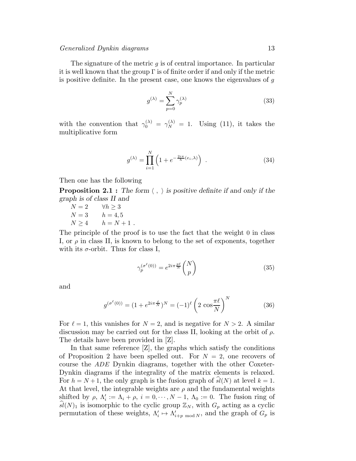The signature of the metric  $q$  is of central importance. In particular it is well known that the group  $\Gamma$  is of finite order if and only if the metric is positive definite. In the present case, one knows the eigenvalues of  $g$ 

$$
g^{(\lambda)} = \sum_{p=0}^{N} \gamma_p^{(\lambda)}
$$
\n(33)

with the convention that  $\gamma_0^{(\lambda)} = \gamma_N^{(\lambda)} = 1$ . Using (11), it takes the multiplicative form

$$
g^{(\lambda)} = \prod_{i=1}^{N} \left( 1 + e^{-\frac{2i\pi}{h}(e_i, \lambda)} \right) \tag{34}
$$

Then one has the following

**Proposition 2.1 :** The form  $\langle , \rangle$  is positive definite if and only if the *graph is of class II and*

$$
N = 2 \t\t \forall h \ge 3N = 3 \t\t h = 4,5N \ge 4 \t\t h = N + 1.
$$

The principle of the proof is to use the fact that the weight 0 in class I, or  $\rho$  in class II, is known to belong to the set of exponents, together with its  $\sigma$ -orbit. Thus for class I,

$$
\gamma_p^{(\sigma^\ell(0))} = e^{2i\pi \frac{p\ell}{N}} \binom{N}{p} \tag{35}
$$

and

$$
g^{(\sigma^{\ell}(0))} = (1 + e^{2i\pi \frac{\ell}{N}})^N = (-1)^{\ell} \left( 2 \cos \frac{\pi \ell}{N} \right)^N
$$
 (36)

For  $\ell = 1$ , this vanishes for  $N = 2$ , and is negative for  $N > 2$ . A similar discussion may be carried out for the class II, looking at the orbit of  $\rho$ . The details have been provided in [Z].

In that same reference [Z], the graphs which satisfy the conditions of Proposition 2 have been spelled out. For  $N = 2$ , one recovers of course the ADE Dynkin diagrams, together with the other Coxeter-Dynkin diagrams if the integrality of the matrix elements is relaxed. For  $h = N + 1$ , the only graph is the fusion graph of  $\hat{sl}(N)$  at level  $k = 1$ . At that level, the integrable weights are  $\rho$  and the fundamental weights shifted by  $\rho$ ,  $\Lambda'_i := \Lambda_i + \rho$ ,  $i = 0, \dots, N-1$ ,  $\Lambda_0 := 0$ . The fusion ring of  $\widehat{sl}(N)_1$  is isomorphic to the cyclic group  $\mathbb{Z}_N$ , with  $G_p$  acting as a cyclic permutation of these weights,  $\Lambda'_i \mapsto \Lambda'_{i+p \mod N}$ , and the graph of  $G_p$  is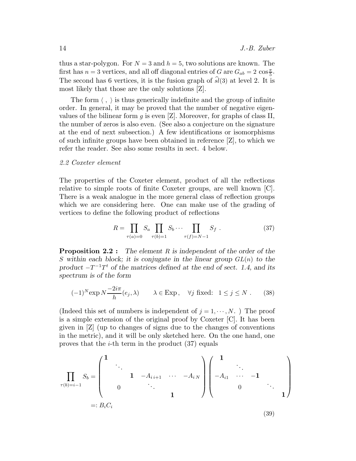thus a star-polygon. For  $N = 3$  and  $h = 5$ , two solutions are known. The first has  $n = 3$  vertices, and all off diagonal entries of G are  $G_{ab} = 2 \cos \frac{\pi}{5}$ . The second has 6 vertices, it is the fusion graph of  $\hat{sl}(3)$  at level 2. It is most likely that those are the only solutions [Z].

The form  $\langle , \rangle$  is thus generically indefinite and the group of infinite order. In general, it may be proved that the number of negative eigenvalues of the bilinear form  $g$  is even [Z]. Moreover, for graphs of class II, the number of zeros is also even. (See also a conjecture on the signature at the end of next subsection.) A few identifications or isomorphisms of such infinite groups have been obtained in reference [Z], to which we refer the reader. See also some results in sect. 4 below.

#### 2.2 Coxeter element

The properties of the Coxeter element, product of all the reflections relative to simple roots of finite Coxeter groups, are well known [C]. There is a weak analogue in the more general class of reflection groups which we are considering here. One can make use of the grading of vertices to define the following product of reflections

$$
R = \prod_{\tau(a)=0} S_a \prod_{\tau(b)=1} S_b \cdots \prod_{\tau(f)=N-1} S_f . \tag{37}
$$

Proposition 2.2 : *The element* R *is independent of the order of the* S within each block; it is conjugate in the linear group  $GL(n)$  to the product  $-T^{-1}T^t$  *of the matrices defined at the end of sect.* 1.4, and its *spectrum is of the form*

$$
(-1)^N \exp N \frac{-2i\pi}{h}(e_j, \lambda) \qquad \lambda \in \text{Exp}, \quad \forall j \text{ fixed: } 1 \le j \le N. \tag{38}
$$

(Indeed this set of numbers is independent of  $j = 1, \dots, N$ .) The proof is a simple extension of the original proof by Coxeter [C]. It has been given in [Z] (up to changes of signs due to the changes of conventions in the metric), and it will be only sketched here. On the one hand, one proves that the *i*-th term in the product  $(37)$  equals

$$
\prod_{\tau(b)=i-1} S_b = \begin{pmatrix} 1 & & & & \\ & \ddots & & & & \\ & & 1 & -A_{i,i+1} & \cdots & -A_{i,N} \\ & & & \ddots & & \\ & & & & 1 & \end{pmatrix} \begin{pmatrix} 1 & & & & \\ & \ddots & & & \\ & & & -1 & & \\ & & & & 0 & \ddots \\ & & & & & 1 \end{pmatrix}
$$
  
=:  $B_i C_i$  (39)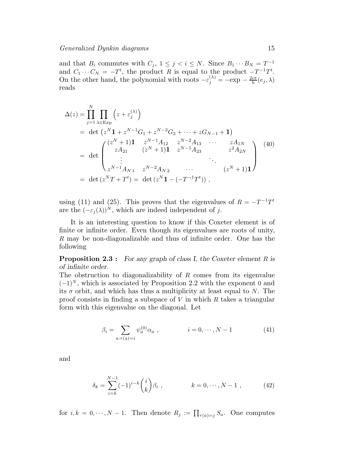and that  $B_i$  commutes with  $C_j$ ,  $1 \leq j \leq i \leq N$ . Since  $B_1 \cdots B_N = T^{-1}$ and  $C_1 \cdots C_N = -T^t$ , the product R is equal to the product  $-T^{-1}T^t$ . On the other hand, the polynomial with roots  $-\varepsilon_j^{(\lambda)} = -\exp - \frac{2i\pi}{h}$  $\frac{i\pi}{h}(e_j,\lambda)$ reads

$$
\Delta(z) = \prod_{j=1}^{N} \prod_{\lambda \in \text{Exp}} \left( z + \varepsilon_j^{(\lambda)} \right)
$$
  
= det  $\left( z^N \mathbf{1} + z^{N-1} G_1 + z^{N-2} G_2 + \dots + z G_{N-1} + \mathbf{1} \right)$   
= det  $\begin{pmatrix} (z^N + 1) \mathbf{1} & z^{N-1} A_{12} & z^{N-2} A_{13} & \dots & z A_{1N} \\ z A_{21} & (z^N + 1) \mathbf{1} & z^{N-1} A_{23} & z^2 A_{2N} \\ \vdots & \vdots & \ddots & \vdots \\ z^{N-1} A_{N1} & z^{N-2} A_{N2} & \dots & (z^N + 1) \mathbf{1} \end{pmatrix}$  (40)  
= det  $(z^N T + T^t)$  = det  $(z^N \mathbf{1} - (-T^{-1} T^t))$ ,

using (11) and (25). This proves that the eigenvalues of  $R = -T^{-1}T^t$ are the  $(-\varepsilon_i(\lambda))^N$ , which are indeed independent of j.

It is an interesting question to know if this Coxeter element is of finite or infinite order. Even though its eigenvalues are roots of unity, R may be non-diagonalizable and thus of infinite order. One has the following

Proposition 2.3 : *For any graph of class I, the Coxeter element* R *is of infinite order.*

The obstruction to diagonalizability of  $R$  comes from its eigenvalue  $(-1)^N$ , which is associated by Proposition 2.2 with the exponent 0 and its  $\sigma$  orbit, and which has thus a multiplicity at least equal to N. The proof consists in finding a subspace of  $V$  in which  $R$  takes a triangular form with this eigenvalue on the diagonal. Let

$$
\beta_i = \sum_{a:\tau(a)=i} \psi_a^{(0)} \alpha_a , \qquad i = 0, \cdots, N-1 \qquad (41)
$$

and

$$
\delta_k = \sum_{i=k}^{N-1} (-1)^{i-k} {i \choose k} \beta_i , \qquad k = 0, \cdots, N-1 , \qquad (42)
$$

for  $i, k = 0, \dots, N - 1$ . Then denote  $R_j := \prod_{\tau(a)=j} S_a$ . One computes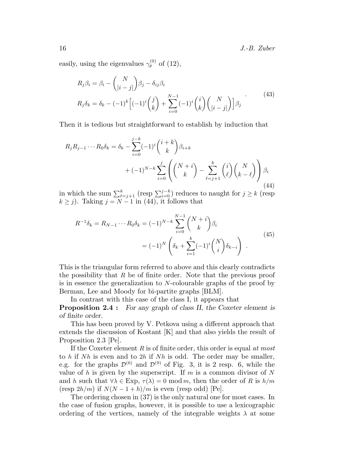16 J.-B. Zuber

easily, using the eigenvalues  $\gamma_p^{(0)}$  of (12),

$$
R_j \beta_i = \beta_i - {N \choose |i-j|} \beta_j - \delta_{ij} \beta_i
$$
  
\n
$$
R_j \delta_k = \delta_k - (-1)^k \left[ (-1)^i {j \choose k} + \sum_{i=0}^{N-1} (-1)^i {i \choose k} {N \choose |i-j|} \right] \beta_j
$$
\n(43)

Then it is tedious but straightforward to establish by induction that

$$
R_j R_{j-1} \cdots R_0 \delta_k = \delta_k - \sum_{i=0}^{j-k} (-1)^i {i+k \choose k} \beta_{i+k} + (-1)^{N-k} \sum_{i=0}^j \left( {N+i \choose k} - \sum_{\ell=j+1}^k {i \choose \ell} {N \choose k-\ell} \right) \beta_i
$$
\n(44)

in which the sum  $\sum_{\ell=j+1}^{k}$  (resp  $\sum_{i=0}^{j-k}$ ) reduces to naught for  $j \ge k$  (resp  $k \geq j$ ). Taking  $j = N - 1$  in (44), it follows that

$$
R^{-1}\delta_k = R_{N-1} \cdots R_0 \delta_k = (-1)^{N-k} \sum_{i=0}^{N-1} {N+i \choose k} \beta_i
$$
  
=  $(-1)^N \left( \delta_k + \sum_{i=1}^k (-1)^i {N \choose i} \delta_{k-i} \right)$ . (45)

This is the triangular form referred to above and this clearly contradicts the possibility that  $R$  be of finite order. Note that the previous proof is in essence the generalization to N-colourable graphs of the proof by Berman, Lee and Moody for bi-partite graphs [BLM].

In contrast with this case of the class I, it appears that

Proposition 2.4 : *For any graph of class II, the Coxeter element is of finite order.*

This has been proved by V. Petkova using a different approach that extends the discussion of Kostant [K] and that also yields the result of Proposition 2.3 [Pe].

If the Coxeter element  $R$  is of finite order, this order is equal at most to  $h$  if  $Nh$  is even and to  $2h$  if  $Nh$  is odd. The order may be smaller, e.g. for the graphs  $\mathcal{D}^{(6)}$  and  $\mathcal{D}^{(9)}$  of Fig. 3, it is 2 resp. 6, while the value of h is given by the superscript. If m is a common divisor of N and h such that  $\forall \lambda \in \text{Exp}, \tau(\lambda) = 0 \text{ mod } m$ , then the order of R is  $h/m$ (resp  $2h/m$ ) if  $N(N-1+h)/m$  is even (resp odd) [Pe].

The ordering chosen in (37) is the only natural one for most cases. In the case of fusion graphs, however, it is possible to use a lexicographic ordering of the vertices, namely of the integrable weights  $\lambda$  at some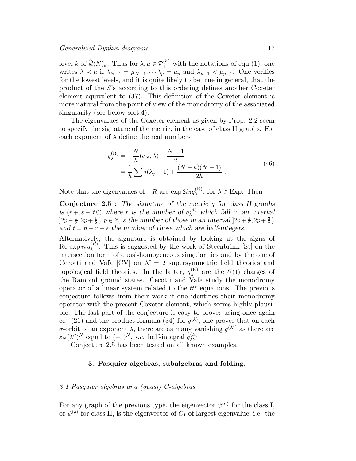level k of  $\widehat{sl}(N)_k$ . Thus for  $\lambda, \mu \in \mathcal{P}_{++}^{(h)}$  with the notations of equ (1), one writes  $\lambda \prec \mu$  if  $\lambda_{N-1} = \mu_{N-1}, \cdots \lambda_p = \mu_p$  and  $\lambda_{p-1} < \mu_{p-1}$ . One verifies for the lowest levels, and it is quite likely to be true in general, that the product of the S's according to this ordering defines another Coxeter element equivalent to (37). This definition of the Coxeter element is more natural from the point of view of the monodromy of the associated singularity (see below sect.4).

The eigenvalues of the Coxeter element as given by Prop. 2.2 seem to specify the signature of the metric, in the case of class II graphs. For each exponent of  $\lambda$  define the real numbers

$$
q_{\lambda}^{(\mathcal{R})} = -\frac{N}{h}(e_N, \lambda) - \frac{N-1}{2}
$$
  
= 
$$
\frac{1}{h} \sum_{j} j(\lambda_j - 1) + \frac{(N-h)(N-1)}{2h}
$$
 (46)

Note that the eigenvalues of  $-R$  are  $\exp 2i\pi q_{\lambda}^{(R)}$ , for  $\lambda \in \text{Exp}$ . Then

Conjecture 2.5 : *The signature of the metric* g *for class II graphs is*  $(r + s - t_0)$  where r *is the number of*  $q_{\lambda}^{(R)}$  which fall in an interval  $]2p-\frac{1}{2}, 2p+\frac{1}{2}[$ ,  $p \in \mathbb{Z}$ , *s* the number of those in an interval  $]2p+\frac{1}{2}, 2p+\frac{3}{2}[$ , *and*  $t = n - r - s$  *the number of those which are half-integers.* 

Alternatively, the signature is obtained by looking at the signs of Re  $\exp i\pi q_{\lambda}^{(R)}$ . This is suggested by the work of Steenbrink [St] on the intersection form of quasi-homogeneous singularities and by the one of Cecotti and Vafa  $\left[CV\right]$  on  $\mathcal{N}=2$  supersymmetric field theories and topological field theories. In the latter,  $q_{\lambda}^{(\text{R})}$  $\lambda^{(R)}$  are the  $U(1)$  charges of the Ramond ground states. Cecotti and Vafa study the monodromy operator of a linear system related to the  $tt^*$  equations. The previous conjecture follows from their work if one identifies their monodromy operator with the present Coxeter element, which seems highly plausible. The last part of the conjecture is easy to prove: using once again eq. (21) and the product formula (34) for  $g^{(\lambda)}$ , one proves that on each σ-orbit of an exponent  $\lambda$ , there are as many vanishing  $g^{(\lambda')}$  as there are  $\varepsilon_N(\lambda'')^N$  equal to  $(-1)^N$ , *i.e.* half-integral  $q_{\lambda''}^{(R)}$ .

Conjecture 2.5 has been tested on all known examples.

# 3. Pasquier algebras, subalgebras and folding.

# 3.1 Pasquier algebras and (quasi) C-algebras

For any graph of the previous type, the eigenvector  $\psi^{(0)}$  for the class I, or  $\psi^{(\rho)}$  for class II, is the eigenvector of  $G_1$  of largest eigenvalue, i.e. the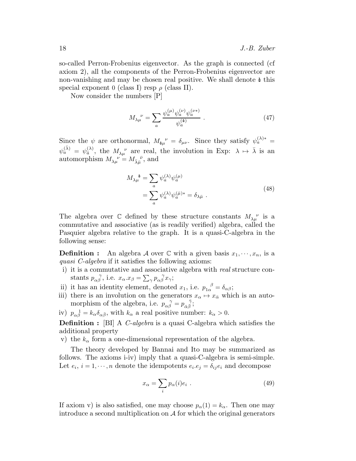so-called Perron-Frobenius eigenvector. As the graph is connected (cf axiom 2), all the components of the Perron-Frobenius eigenvector are non-vanishing and may be chosen real positive. We shall denote  $\Phi$  this special exponent 0 (class I) resp  $\rho$  (class II).

Now consider the numbers [P]

$$
M_{\lambda\mu}^{\ \ \nu} = \sum_{a} \frac{\psi_a^{(\mu)} \psi_a^{(\nu)} \psi_a^{(\nu*)}}{\psi_a^{(\mathfrak{b})}} \ . \tag{47}
$$

Since the  $\psi$  are orthonormal,  $M_{\phi\mu}^{\nu} = \delta_{\mu\nu}$ . Since they satisfy  $\psi_a^{(\lambda)*} =$  $\psi_a^{(\bar{\lambda})} = \psi_{\bar{a}}^{(\lambda)}$  $\alpha_{\bar{\alpha}}^{(\lambda)}$ , the  $M_{\lambda\mu}^{\nu}$  are real, the involution in Exp:  $\lambda \mapsto \bar{\lambda}$  is an automorphism  $M_{\lambda\mu}^{\nu} = M_{\bar{\lambda}\bar{\mu}}^{\bar{\nu}}$ , and

$$
M_{\lambda\mu}^{4} = \sum_{a} \psi_a^{(\lambda)} \psi_a^{(\mu)}
$$
  
= 
$$
\sum_{a} \psi_a^{(\lambda)} \psi_a^{(\bar{\mu})*} = \delta_{\lambda\bar{\mu}} .
$$
 (48)

The algebra over  $\mathbb C$  defined by these structure constants  $M_{\lambda\mu}^{\nu}$  is a commutative and associative (as is readily verified) algebra, called the Pasquier algebra relative to the graph. It is a quasi-C-algebra in the following sense:

**Definition :** An algebra A over C with a given basis  $x_1, \dots, x_n$ , is a quasi C-algebra if it satisfies the following axioms:

- i) it is a commutative and associative algebra with real structure constants  $p_{\alpha\beta}^{\ \ \ \gamma}$ , i.e.  $x_{\alpha} \cdot x_{\beta} = \sum_{\gamma} p_{\alpha\beta}^{\ \ \ \gamma} x_{\gamma}$ ;
- ii) it has an identity element, denoted  $x_1$ , i.e.  $p_{1\alpha}^{\beta} = \delta_{\alpha\beta}$ ;
- iii) there is an involution on the generators  $x_{\alpha} \mapsto x_{\bar{\alpha}}$  which is an automorphism of the algebra, i.e.  $p_{\alpha\beta}^{\quad \gamma} = p_{\bar{\alpha}\bar{\beta}}^{\quad \bar{\gamma}};$
- iv)  $p_{\alpha\beta}^{-1} = k_{\alpha} \delta_{\alpha\bar{\beta}}$ , with  $k_{\alpha}$  a real positive number:  $k_{\alpha} > 0$ .

**Definition :** [BI] A *C*-algebra is a quasi C-algebra which satisfies the additional property

v) the  $k_{\alpha}$  form a one-dimensional representation of the algebra.

The theory developed by Bannai and Ito may be summarized as follows. The axioms i-iv) imply that a quasi-C-algebra is semi-simple. Let  $e_i$ ,  $i = 1, \dots, n$  denote the idempotents  $e_i e_j = \delta_{ij} e_i$  and decompose

$$
x_{\alpha} = \sum_{i} p_{\alpha}(i)e_i . \qquad (49)
$$

If axiom v) is also satisfied, one may choose  $p_{\alpha}(1) = k_{\alpha}$ . Then one may introduce a second multiplication on A for which the original generators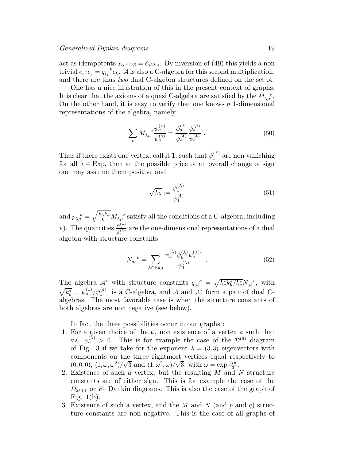act as idempotents  $x_{\alpha} \circ x_{\beta} = \delta_{ab} x_a$ . By inversion of (49) this yields a non trivial  $e_i \circ e_j = q_{ij}^k e_k$ . A is also a C-algebra for this second multiplication, and there are thus *two* dual C-algebra structures defined on the set A.

One has a nice illustration of this in the present context of graphs. It is clear that the axioms of a quasi C-algebra are satisfied by the  $M_{\lambda\mu}^{\nu}$ . On the other hand, it is easy to verify that one knows  $n$  1-dimensional representations of the algebra, namely

$$
\sum_{\nu} M_{\lambda\mu} \frac{\psi_a^{(\nu)}}{\psi_a^{(\mathbf{a})}} = \frac{\psi_a^{(\lambda)}}{\psi_a^{(\mathbf{a})}} \frac{\psi_a^{(\mu)}}{\psi_a^{(\mathbf{a})}}.
$$
\n(50)

Thus if there exists one vertex, call it 1, such that  $\psi_1^{(\lambda)}$  are non vanishing for all  $\lambda \in \text{Exp}$ , then at the possible price of an overall change of sign one may assume them positive and

$$
\sqrt{k_{\lambda}} := \frac{\psi_1^{(\lambda)}}{\psi_1^{(\Phi)}} \tag{51}
$$

and  $p_{\lambda\mu}^{\ \ \nu} = \sqrt{\frac{k_\lambda k_\mu}{k_\nu}} M_{\lambda\mu}^{\ \ \nu}$  satisfy all the conditions of a C-algebra, including v). The quantities  $\frac{\psi_a^{(\lambda)}}{\psi_1^{(\lambda)}}$  are the one-dimensional representations of a dual algebra with structure constants

$$
N_{ab}^{\ c} = \sum_{\lambda \in \text{Exp}} \frac{\psi_a^{(\lambda)} \psi_b^{(\lambda)} \psi_c^{(\lambda)*}}{\psi_1^{(\lambda)}} \ . \tag{52}
$$

The algebra  $\mathcal{A}^*$  with structure constants  $q_{ab}^c = \sqrt{k_a^* k_b^* / k_c^*} N_{ab}^c$ , with  $\sqrt{k_a^*} = \psi_a^{(a)} / \psi_1^{(a)}$ , is a C-algebra, and A and A<sup>\*</sup> form a pair of dual Calgebras. The most favorable case is when the structure constants of both algebras are non negative (see below).

In fact the three possibilities occur in our graphs :

- 1. For a given choice of the  $\psi$ , non existence of a vertex a such that  $\forall \lambda, \psi_a^{(\lambda)} > 0$ . This is for example the case of the  $\mathcal{D}^{(9)}$  diagram of Fig. 3 if we take for the exponent  $\lambda = (3,3)$  eigenvectors with components on the three rightmost vertices equal respectively to  $(0, 0, 0), (1, \omega, \omega^2)/\sqrt{3}$  and  $(1, \omega^2, \omega)/\sqrt{3}$ , with  $\omega = \exp \frac{2i\pi}{3}$ .
- 2. Existence of such a vertex, but the resulting M and N structure constants are of either sign. This is for example the case of the  $D_{2\ell+1}$  or  $E_7$  Dynkin diagrams. This is also the case of the graph of Fig. 1(b).
- 3. Existence of such a vertex, and the M and N (and p and q) structure constants are non negative. This is the case of all graphs of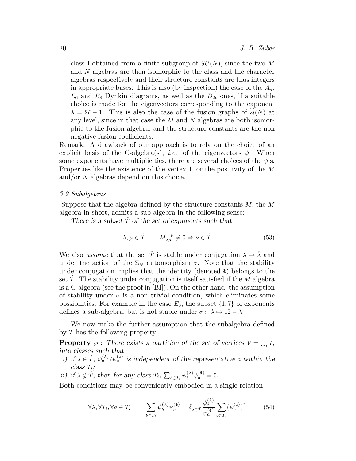class I obtained from a finite subgroup of  $SU(N)$ , since the two M and N algebras are then isomorphic to the class and the character algebras respectively and their structure constants are thus integers in appropriate bases. This is also (by inspection) the case of the  $A_n$ ,  $E_6$  and  $E_8$  Dynkin diagrams, as well as the  $D_{2\ell}$  ones, if a suitable choice is made for the eigenvectors corresponding to the exponent  $\lambda = 2\ell - 1$ . This is also the case of the fusion graphs of  $sl(N)$  at any level, since in that case the M and N algebras are both isomorphic to the fusion algebra, and the structure constants are the non negative fusion coefficients.

Remark: A drawback of our approach is to rely on the choice of an explicit basis of the C-algebra(s), *i.e.* of the eigenvectors  $\psi$ . When some exponents have multiplicities, there are several choices of the  $\psi$ 's. Properties like the existence of the vertex 1, or the positivity of the M and/or N algebras depend on this choice.

#### 3.2 Subalgebras

Suppose that the algebra defined by the structure constants  $M$ , the  $M$ algebra in short, admits a sub-algebra in the following sense:

*There is a subset*  $\hat{T}$  *of the set of exponents such that* 

$$
\lambda, \mu \in \hat{T} \qquad M_{\lambda\mu}^{\quad \nu} \neq 0 \Rightarrow \nu \in \hat{T} \tag{53}
$$

We also *assume* that the set  $\hat{T}$  is stable under conjugation  $\lambda \mapsto \overline{\lambda}$  and under the action of the  $\mathbb{Z}_N$  automorphism  $\sigma$ . Note that the stability under conjugation implies that the identity (denoted  $\phi$ ) belongs to the set T. The stability under conjugation is itself satisfied if the  $M$  algebra is a C-algebra (see the proof in [BI]). On the other hand, the assumption of stability under  $\sigma$  is a non trivial condition, which eliminates some possibilities. For example in the case  $E_6$ , the subset  $\{1, 7\}$  of exponents defines a sub-algebra, but is not stable under  $\sigma : \lambda \mapsto 12 - \lambda$ .

We now make the further assumption that the subalgebra defined by  $\hat{T}$  has the following property

**Property**  $\wp$ : There exists a partition of the set of vertices  $\mathcal{V} = \bigcup_i T_i$ *into classes such that*

- *i)* if  $\lambda \in \hat{T}$ ,  $\psi_a^{(\lambda)}/\psi_a^{(\lambda)}$  is independent of the representative a within the  $class T_i;$
- *ii*) *if*  $\lambda \notin \hat{T}$ , then for any class  $T_i$ ,  $\sum_{b \in T_i} \psi_b^{(\lambda)} \psi_b^{(\phi)} = 0$ .

Both conditions may be conveniently embodied in a single relation

$$
\forall \lambda, \forall T_i, \forall a \in T_i \qquad \sum_{b \in T_i} \psi_b^{(\lambda)} \psi_b^{(\phi)} = \delta_{\lambda \in \hat{T}} \frac{\psi_a^{(\lambda)}}{\psi_a^{(\phi)}} \sum_{b \in T_i} (\psi_b^{(\phi)})^2 \qquad (54)
$$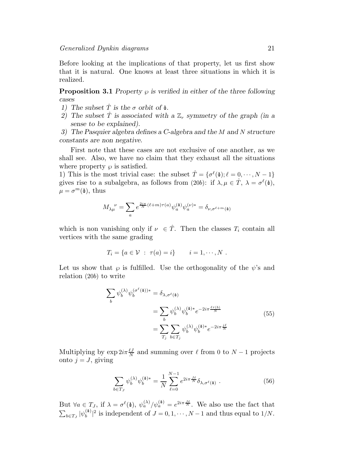Before looking at the implications of that property, let us first show that it is natural. One knows at least three situations in which it is realized.

**Proposition 3.1** Property  $\wp$  is verified in either of the three following *cases*

- *1)* The subset  $\hat{T}$  is the  $\sigma$  orbit of  $\Phi$ .
- *2)* The subset  $\hat{T}$  is associated with a  $\mathbb{Z}_r$  symmetry of the graph (in a *sense to be explained).*

*3) The Pasquier algebra defines a C-algebra and the* M *and* N *structure constants are non negative.*

First note that these cases are not exclusive of one another, as we shall see. Also, we have no claim that they exhaust all the situations where property  $\wp$  is satisfied.

1) This is the most trivial case: the subset  $\hat{T} = {\sigma^{\ell}(\Phi)}; \ell = 0, \dots, N-1$ gives rise to a subalgebra, as follows from (20b): if  $\lambda, \mu \in \hat{T}$ ,  $\lambda = \sigma^{\ell}(\phi)$ ,  $\mu = \sigma^m(\Phi)$ , thus

$$
M_{\lambda\mu}^{\ \ \nu} = \sum_{a} e^{\frac{2i\pi}{N}(\ell+m)\tau(a)} \psi_a^{(\mathbf{b})} \psi_a^{(\nu)*} = \delta_{\nu,\sigma^{\ell+m}(\mathbf{b})}
$$

which is non vanishing only if  $\nu \in \hat{T}$ . Then the classes  $T_i$  contain all vertices with the same grading

$$
T_i = \{a \in \mathcal{V} : \tau(a) = i\} \qquad i = 1, \cdots, N \ .
$$

Let us show that  $\varphi$  is fulfilled. Use the orthogonality of the  $\psi$ 's and relation (20b) to write

$$
\sum_{b} \psi_b^{(\lambda)} \psi_b^{(\sigma^{\ell}(\Phi))^*} = \delta_{\lambda, \sigma^{\ell}(\Phi)}
$$

$$
= \sum_{b} \psi_b^{(\lambda)} \psi_b^{(\Phi)*} e^{-2i\pi \frac{\ell \tau(b)}{N}}
$$

$$
= \sum_{T_j} \sum_{b \in T_j} \psi_b^{(\lambda)} \psi_b^{(\Phi)*} e^{-2i\pi \frac{j\ell}{N}}
$$
(55)

Multiplying by  $\exp 2i\pi \frac{\ell J}{N}$  and summing over  $\ell$  from 0 to  $N-1$  projects onto  $j = J$ , giving

$$
\sum_{b \in T_J} \psi_b^{(\lambda)} \psi_b^{(\Phi)*} = \frac{1}{N} \sum_{\ell=0}^{N-1} e^{2i\pi \frac{J\ell}{N}} \delta_{\lambda, \sigma^{\ell}(\Phi)} . \tag{56}
$$

But  $\forall a \in T_J$ , if  $\lambda = \sigma^{\ell}(\phi)$ ,  $\psi_a^{(\lambda)}/\psi_a^{(\phi)} = e^{2i\pi \frac{J\ell}{N}}$ . We also use the fact that  $\sum_{b\in T_J}|\psi_b^{(\Phi)}\>$  $\binom{4}{b}$  is independent of  $J = 0, 1, \dots, N-1$  and thus equal to  $1/N$ .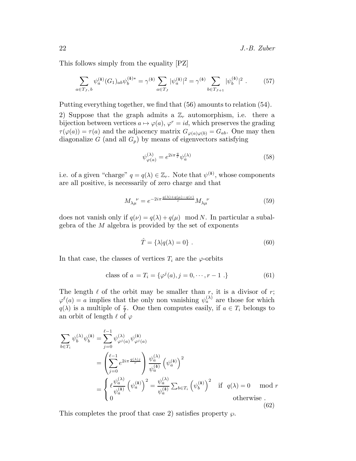This follows simply from the equality [PZ]

$$
\sum_{a \in T_J, \, b} \psi_a^{(\phi)}(G_1)_{ab} \psi_b^{(\phi)*} = \gamma^{(\phi)} \sum_{a \in T_J} |\psi_a^{(\phi)}|^2 = \gamma^{(\phi)} \sum_{b \in T_{J+1}} |\psi_b^{(\phi)}|^2. \tag{57}
$$

Putting everything together, we find that (56) amounts to relation (54).

2) Suppose that the graph admits a  $\mathbb{Z}_r$  automorphism, i.e. there a bijection between vertices  $a \mapsto \varphi(a), \varphi^r = id$ , which preserves the grading  $\tau(\varphi(a)) = \tau(a)$  and the adjacency matrix  $G_{\varphi(a)\varphi(b)} = G_{ab}$ . One may then diagonalize G (and all  $G_p$ ) by means of eigenvectors satisfying

$$
\psi_{\varphi(a)}^{(\lambda)} = e^{2i\pi \frac{q}{r}} \psi_a^{(\lambda)} \tag{58}
$$

i.e. of a given "charge"  $q = q(\lambda) \in \mathbb{Z}_r$ . Note that  $\psi^{(\phi)}$ , whose components are all positive, is necessarily of zero charge and that

$$
M_{\lambda\mu}^{\ \ \nu} = e^{-2i\pi \frac{q(\lambda) + q(\mu) - q(\nu)}{r}} M_{\lambda\mu}^{\ \ \nu}
$$
\n
$$
(59)
$$

does not vanish only if  $q(\nu) = q(\lambda) + q(\mu) \mod N$ . In particular a subalgebra of the M algebra is provided by the set of exponents

$$
\hat{T} = \{\lambda | q(\lambda) = 0\} . \tag{60}
$$

In that case, the classes of vertices  $T_i$  are the  $\varphi$ -orbits

class of 
$$
a = T_i = \{ \varphi^j(a), j = 0, \dots, r - 1 \}
$$
 (61)

The length  $\ell$  of the orbit may be smaller than  $r$ , it is a divisor of  $r$ ;  $\varphi^{\ell}(a) = a$  implies that the only non vanishing  $\psi_a^{(\lambda)}$  are those for which  $q(\lambda)$  is a multiple of  $\frac{r}{\ell}$ . One then computes easily, if  $a \in T_i$  belongs to an orbit of length  $\ell$  of  $\varphi$ 

$$
\sum_{b \in T_i} \psi_b^{(\lambda)} \psi_b^{(\mathbf{\hat{a}})} = \sum_{j=0}^{\ell-1} \psi_{\varphi^j(a)}^{(\lambda)} \psi_{\varphi^j(a)}^{(\mathbf{\hat{a}})}
$$
\n
$$
= \left(\sum_{j=0}^{\ell-1} e^{2i\pi \frac{q(\lambda)j}{r}}\right) \frac{\psi_a^{(\lambda)}}{\psi_a^{(\mathbf{\hat{a}})}} \left(\psi_a^{(\mathbf{\hat{a}})}\right)^2
$$
\n
$$
= \begin{cases} \ell \frac{\psi_a^{(\lambda)}}{\psi_a^{(\mathbf{\hat{a}})}} \left(\psi_a^{(\mathbf{\hat{a}})}\right)^2 = \frac{\psi_a^{(\lambda)}}{\psi_a^{(\mathbf{\hat{a}})}} \sum_{b \in T_i} \left(\psi_b^{(\mathbf{\hat{a}})}\right)^2 & \text{if } q(\lambda) = 0 \mod r \\ 0 & \text{otherwise} \end{cases}
$$
\n(62)

This completes the proof that case 2) satisfies property  $\wp$ .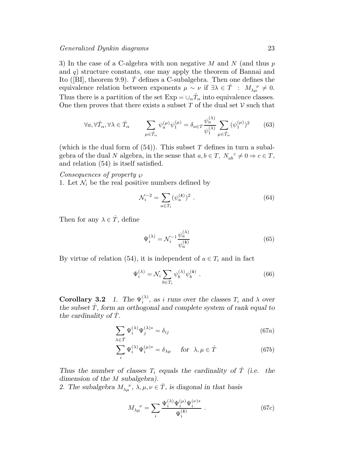3) In the case of a C-algebra with non negative M and N (and thus  $p$ and  $q$ ) structure constants, one may apply the theorem of Bannai and Ito ([BI], theorem 9.9).  $\hat{T}$  defines a C-subalgebra. Then one defines the equivalence relation between exponents  $\mu \sim \nu$  if  $\exists \lambda \in \hat{T}$  :  $M_{\lambda\mu}^{\nu} \neq 0$ . Thus there is a partition of the set  $Exp = \cup_{\alpha} \hat{T}_{\alpha}$  into equivalence classes. One then proves that there exists a subset T of the dual set  $\mathcal V$  such that

$$
\forall a, \forall \hat{T}_{\alpha}, \forall \lambda \in \hat{T}_{\alpha} \qquad \sum_{\mu \in \hat{T}_{\alpha}} \psi_a^{(\mu)} \psi_1^{(\mu)} = \delta_{a \in T} \frac{\psi_a^{(\lambda)}}{\psi_1^{(\lambda)}} \sum_{\mu \in \hat{T}_{\alpha}} (\psi_1^{(\mu)})^2 \qquad (63)
$$

(which is the dual form of  $(54)$ ). This subset T defines in turn a subalgebra of the dual N algebra, in the sense that  $a, b \in T$ ,  $N_{ab}{}^c \neq 0 \Rightarrow c \in T$ , and relation (54) is itself satisfied.

Consequences of property 
$$
\wp
$$

1. Let  $\mathcal{N}_i$  be the real positive numbers defined by

$$
\mathcal{N}_i^{-2} = \sum_{a \in T_i} (\psi_a^{(\phi)})^2 \ . \tag{64}
$$

Then for any  $\lambda \in \hat{T}$ , define

$$
\Psi_i^{(\lambda)} = \mathcal{N}_i^{-1} \frac{\psi_a^{(\lambda)}}{\psi_a^{(\phi)}}
$$
\n(65)

By virtue of relation (54), it is independent of  $a \in T_i$  and in fact

$$
\Psi_i^{(\lambda)} = \mathcal{N}_i \sum_{b \in T_i} \psi_b^{(\lambda)} \psi_b^{(\phi)} . \tag{66}
$$

**Corollary 3.2** 1. The  $\Psi_i^{(\lambda)}$  $\binom{(\lambda)}{i}$ , as *i* runs over the classes  $T_i$  and  $\lambda$  over the subset  $\hat{T}$ , form an orthogonal and complete system of rank equal to *the cardinality of* Tˆ*.*

$$
\sum_{\lambda \in \hat{T}} \Psi_i^{(\lambda)} \Psi_j^{(\lambda)*} = \delta_{ij} \tag{67a}
$$

$$
\sum_{i} \Psi_{i}^{(\lambda)} \Psi_{i}^{(\mu)*} = \delta_{\lambda\mu} \quad \text{ for } \lambda, \mu \in \hat{T}
$$
 (67b)

*Thus the number of classes*  $T_i$  *equals the cardinality of*  $\ddot{T}$  *(i.e. the dimension of the* M *subalgebra).*

2. The subalgebra  $M_{\lambda\mu}^{\nu}$ ,  $\lambda, \mu, \nu \in \hat{T}$ , is diagonal in that basis

$$
M_{\lambda\mu}^{\nu} = \sum_{i} \frac{\Psi_i^{(\lambda)} \Psi_i^{(\mu)} \Psi_i^{(\nu)*}}{\Psi_i^{(\Phi)}} . \tag{67c}
$$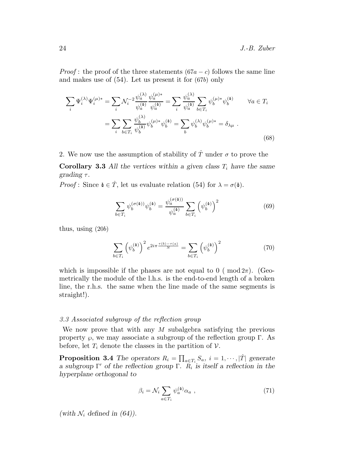*Proof*: the proof of the three statements  $(67a - c)$  follows the same line and makes use of (54). Let us present it for (67b) only

$$
\sum_{i} \Psi_{i}^{(\lambda)} \Psi_{i}^{(\mu)*} = \sum_{i} \mathcal{N}_{i}^{-2} \frac{\psi_{a}^{(\lambda)}}{\psi_{a}^{(\Phi)}} \frac{\psi_{a}^{(\mu)*}}{\psi_{a}^{(\Phi)}} = \sum_{i} \frac{\psi_{a}^{(\lambda)}}{\psi_{a}^{(\Phi)}} \sum_{b \in T_{i}} \psi_{b}^{(\mu)*} \psi_{b}^{(\Phi)} \qquad \forall a \in T_{i}
$$

$$
= \sum_{i} \sum_{b \in T_{i}} \frac{\psi_{b}^{(\lambda)}}{\psi_{b}^{(\Phi)}} \psi_{b}^{(\mu)*} \psi_{b}^{(\Phi)} = \sum_{b} \psi_{b}^{(\lambda)} \psi_{b}^{(\mu)*} = \delta_{\lambda \mu} \ .
$$
(68)

2. We now use the assumption of stability of  $\hat{T}$  under  $\sigma$  to prove the

Corollary 3.3 All the vertices within a given class  $T_i$  have the same *grading*  $\tau$ *.* 

*Proof*: Since  $\Phi \in \hat{T}$ , let us evaluate relation (54) for  $\lambda = \sigma(\Phi)$ .

$$
\sum_{b \in T_i} \psi_b^{(\sigma(\Phi))} \psi_b^{(\Phi)} = \frac{\psi_a^{(\sigma(\Phi))}}{\psi_a^{(\Phi)}} \sum_{b \in T_i} \left( \psi_b^{(\Phi)} \right)^2 \tag{69}
$$

thus, using (20b)

$$
\sum_{b \in T_i} \left( \psi_b^{(\mathbf{\hat{a}})} \right)^2 e^{2i\pi \frac{\tau(b) - \tau(a)}{N}} = \sum_{b \in T_i} \left( \psi_b^{(\mathbf{\hat{a}})} \right)^2 \tag{70}
$$

which is impossible if the phases are not equal to  $0 \ (\text{mod } 2\pi)$ . (Geometrically the module of the l.h.s. is the end-to-end length of a broken line, the r.h.s. the same when the line made of the same segments is straight!).

# 3.3 Associated subgroup of the reflection group

We now prove that with any M subalgebra satisfying the previous property  $\wp$ , we may associate a subgroup of the reflection group Γ. As before, let  $T_i$  denote the classes in the partition of  $V$ .

**Proposition 3.4** The operators  $R_i = \prod_{a \in T_i} S_a$ ,  $i = 1, \dots, |\hat{T}|$  generate *a subgroup* Γ ′ *of the reflection group* Γ*.* R<sup>i</sup> *is itself a reflection in the hyperplane orthogonal to*

$$
\beta_i = \mathcal{N}_i \sum_{a \in T_i} \psi_a^{(\phi)} \alpha_a \tag{71}
$$

(with  $\mathcal{N}_i$  defined in (64)).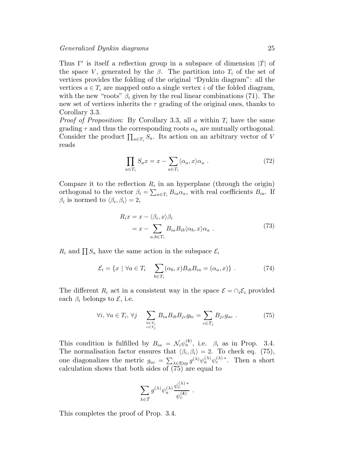Thus Γ' is itself a reflection group in a subspace of dimension  $|\hat{T}|$  of the space V, generated by the  $\beta$ . The partition into  $T_i$  of the set of vertices provides the folding of the original "Dynkin diagram": all the vertices  $a \in T_i$  are mapped onto a single vertex i of the folded diagram, with the new "roots"  $\beta_i$  given by the real linear combinations (71). The new set of vertices inherits the  $\tau$  grading of the original ones, thanks to Corollary 3.3.

*Proof of Proposition*: By Corollary 3.3, all a within  $T_i$  have the same grading  $\tau$  and thus the corresponding roots  $\alpha_a$  are mutually orthogonal. Consider the product  $\prod_{a \in T_i} S_a$ . Its action on an arbitrary vector of V reads

$$
\prod_{a \in T_i} S_a x = x - \sum_{a \in T_i} \langle \alpha_a, x \rangle \alpha_a . \tag{72}
$$

Compare it to the reflection  $R_i$  in an hyperplane (through the origin) orthogonal to the vector  $\beta_i = \sum_{a \in T_i} B_{ia} \alpha_a$ , with real coefficients  $B_{ia}$ . If  $\beta_i$  is normed to  $\langle \beta_i, \beta_i \rangle = 2$ ,

$$
R_i x = x - \langle \beta_i, x \rangle \beta_i
$$
  
=  $x - \sum_{a,b \in T_i} B_{ia} B_{ib} \langle \alpha_b, x \rangle \alpha_a$ . (73)

 $R_i$  and  $\prod S_a$  have the same action in the subspace  $\mathcal{E}_i$ 

$$
\mathcal{E}_i = \{x \mid \forall a \in T_i \quad \sum_{b \in T_i} (\alpha_b, x) B_{ib} B_{ia} = (\alpha_a, x) \} . \tag{74}
$$

The different  $R_i$  act in a consistent way in the space  $\mathcal{E} = \bigcap_i \mathcal{E}_i$  provided each  $\beta_i$  belongs to  $\mathcal{E}$ , i.e.

$$
\forall i, \forall a \in T_i, \forall j \quad \sum_{\substack{b \in T_i \\ c \in T_j}} B_{ia} B_{ib} B_{jc} g_{bc} = \sum_{c \in T_j} B_{jc} g_{ac} \ . \tag{75}
$$

This condition is fulfilled by  $B_{ia} = \mathcal{N}_i \psi_a^{(4)}$ , i.e.  $\beta_i$  as in Prop. 3.4. The normalisation factor ensures that  $\langle \beta_i, \beta_i \rangle = 2$ . To check eq. (75), one diagonalizes the metric  $g_{ac} = \sum_{\lambda \in \text{Exp}} g^{(\lambda)} \psi_a^{(\lambda)} \psi_c^{(\lambda)}^*$ . Then a short calculation shows that both sides of (75) are equal to

$$
\sum_{\lambda \in \hat{T}} g^{(\lambda)} \psi_a^{(\lambda)} \frac{\psi_c^{(\lambda)*}}{\psi_c^{(4)}}.
$$

This completes the proof of Prop. 3.4.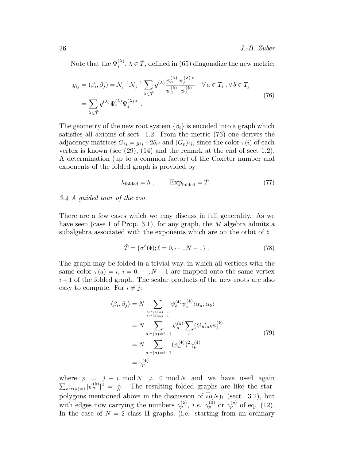Note that the  $\Psi_i^{(\lambda)}$  $\hat{i}^{(\lambda)}, \lambda \in \hat{T}$ , defined in (65) diagonalize the new metric:

$$
g_{ij} = (\beta_i, \beta_j) = \mathcal{N}_i^{-1} \mathcal{N}_j^{-1} \sum_{\lambda \in \hat{T}} g^{(\lambda)} \frac{\psi_a^{(\lambda)}}{\psi_a^{(\phi)}} \frac{\psi_b^{(\lambda)*}}{\psi_b^{(\phi)}} \quad \forall a \in T_i, \forall b \in T_j
$$
  
= 
$$
\sum_{\lambda \in \hat{T}} g^{(\lambda)} \Psi_i^{(\lambda)} \Psi_j^{(\lambda)*} .
$$
 (76)

The geometry of the new root system  $\{\beta_i\}$  is encoded into a graph which satisfies all axioms of sect. 1.2. From the metric (76) one derives the adjacency matrices  $G_{ij} = g_{ij} - 2\delta_{ij}$  and  $(G_p)_{ij}$ , since the color  $\tau(i)$  of each vertex is known (see  $(29)$ ,  $(14)$  and the remark at the end of sect 1.2). A determination (up to a common factor) of the Coxeter number and exponents of the folded graph is provided by

$$
h_{\text{folded}} = h , \qquad \text{Exp}_{\text{folded}} = \hat{T} . \qquad (77)
$$

# 3.4 A guided tour of the zoo

There are a few cases which we may discuss in full generality. As we have seen (case 1 of Prop. 3.1), for any graph, the M algebra admits a subalgebra associated with the exponents which are on the orbit of  $\Phi$ 

$$
\hat{T} = \{ \sigma^{\ell}(\Phi); \ell = 0, \cdots, N - 1 \} . \tag{78}
$$

The graph may be folded in a trivial way, in which all vertices with the same color  $\tau(a) = i$ ,  $i = 0, \dots, N-1$  are mapped onto the same vertex  $i+1$  of the folded graph. The scalar products of the new roots are also easy to compute. For  $i \neq j$ :

$$
\langle \beta_i, \beta_j \rangle = N \sum_{\substack{a:\tau(a)=i-1\\b:\tau(b)=j-1}} \psi_a^{(\mathbf{a})} \psi_b^{(\mathbf{a})} \langle \alpha_a, \alpha_b \rangle
$$
  

$$
= N \sum_{a:\tau(a)=i-1} \psi_a^{(\mathbf{a})} \sum_b (G_p)_{ab} \psi_b^{(\mathbf{a})}
$$
  

$$
= N \sum_{a:\tau(a)=i-1} (\psi_a^{(\mathbf{a})})^2 \gamma_p^{(\mathbf{a})}
$$
  

$$
= \gamma_p^{(\mathbf{a})}
$$
 (79)

where  $p = j - i \mod N \neq 0 \mod N$  and we have used again  $\sum_{a:\tau(a)=i} |\psi_a^{(\Phi)}|^2 = \frac{1}{N}$  $\frac{1}{N}$ . The resulting folded graphs are like the starpolygons mentioned above in the discussion of  $\hat{sl}(N)_1$  (sect. 3.2), but with edges now carrying the numbers  $\gamma_p^{(\phi)}$ , *i.e.*  $\gamma_p^{(0)}$  or  $\gamma_p^{(\rho)}$  of eq. (12). In the case of  $N = 2$  class II graphs, (i.e. starting from an ordinary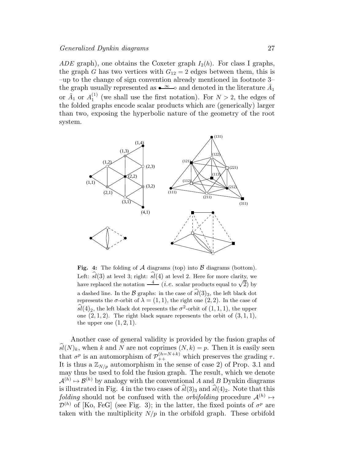ADE graph), one obtains the Coxeter graph  $I_2(h)$ . For class I graphs, the graph G has two vertices with  $G_{12} = 2$  edges between them, this is –up to the change of sign convention already mentioned in footnote 3– the graph usually represented as  $\bullet \infty$  o and denoted in the literature  $\hat{A}_1$ or  $\tilde{A}_1$  or  $A_1^{(1)}$  $_1^{(1)}$  (we shall use the first notation). For  $N > 2$ , the edges of the folded graphs encode scalar products which are (generically) larger than two, exposing the hyperbolic nature of the geometry of the root system.



Fig. 4: The folding of  $A$  diagrams (top) into  $B$  diagrams (bottom). Left:  $\widehat{sl}(3)$  at level 3; right:  $\widehat{sl}(4)$  at level 2. Here for more clarity, we have replaced the notation  $\frac{4}{\sqrt{2}}$  (*i.e.* scalar products equal to  $\sqrt{2}$ ) by a dashed line. In the  $\mathcal{B}$  graphs: in the case of  $\widehat{sl}(3)_3$ , the left black dot represents the  $\sigma$ -orbit of  $\lambda = (1, 1)$ , the right one  $(2, 2)$ . In the case of  $\widehat{sl}(4)_2$ , the left black dot represents the  $\sigma^2$ -orbit of  $(1, 1, 1)$ , the upper one  $(2, 1, 2)$ . The right black square represents the orbit of  $(3, 1, 1)$ , the upper one  $(1, 2, 1)$ .

Another case of general validity is provided by the fusion graphs of  $\widehat{sl}(N)_k$ , when k and N are not coprimes  $(N, k) = p$ . Then it is easily seen that  $\sigma^p$  is an automorphism of  $\mathcal{P}_{++}^{(h=N+k)}$  which preserves the grading  $\tau$ . It is thus a  $\mathbb{Z}_{N/p}$  automorphism in the sense of case 2) of Prop. 3.1 and may thus be used to fold the fusion graph. The result, which we denote  $\mathcal{A}^{(h)} \mapsto \mathcal{B}^{(h)}$  by analogy with the conventional A and B Dynkin diagrams is illustrated in Fig. 4 in the two cases of  $\hat{sl}(3)_3$  and  $\hat{sl}(4)_2$ . Note that this folding should not be confused with the *orbifolding* procedure  $\mathcal{A}^{(h)} \mapsto$  $\mathcal{D}^{(h)}$  of [Ko, FeG] (see Fig. 3); in the latter, the fixed points of  $\sigma^p$  are taken with the multiplicity  $N/p$  in the orbifold graph. These orbifold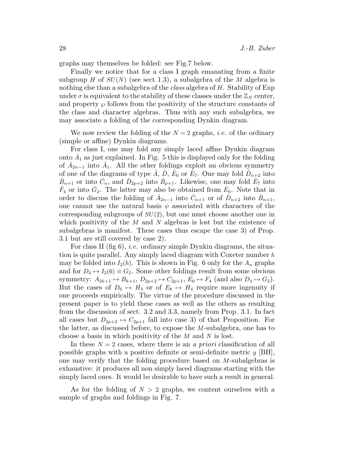graphs may themselves be folded: see Fig.7 below.

Finally we notice that for a class I graph emanating from a finite subgroup H of  $SU(N)$  (see sect 1.3), a subalgebra of the M algebra is nothing else than a subalgebra of the *class* algebra of H. Stability of Exp under  $\sigma$  is equivalent to the stability of these classes under the  $\mathbb{Z}_N$  center, and property  $\wp$  follows from the positivity of the structure constants of the class and character algebras. Thus with any such subalgebra, we may associate a folding of the corresponding Dynkin diagram.

We now review the folding of the  $N = 2$  graphs, *i.e.* of the ordinary (simple or affine) Dynkin diagrams.

For class I, one may fold any simply laced affine Dynkin diagram onto  $\hat{A}_1$  as just explained. In Fig. 5 this is displayed only for the folding of  $\hat{A}_{2n-1}$  into  $\hat{A}_1$ . All the other foldings exploit an obvious symmetry of one of the diagrams of type  $\hat{A}$ ,  $\hat{D}$ ,  $\hat{E}_6$  or  $\hat{E}_7$ . One may fold  $\hat{D}_{n+2}$  into  $\hat{B}_{n+1}$  or into  $\hat{C}_n$ , and  $\hat{D}_{2p+2}$  into  $\hat{B}_{p+1}$ . Likewise, one may fold  $\hat{E}_7$  into  $\hat{F}_4$  or into  $\hat{G}_2$ . The latter may also be obtained from  $\hat{E}_6$ . Note that in order to discuss the folding of  $\hat{A}_{2n-1}$  into  $\hat{C}_{n+1}$  or of  $\hat{D}_{n+2}$  into  $\hat{B}_{n+1}$ , one cannot use the natural basis  $\psi$  associated with characters of the corresponding subgroups of  $SU(2)$ , but one must choose another one in which positivity of the  $M$  and  $N$  algebras is lost but the existence of subalgebras is manifest. These cases thus escape the case 3) of Prop. 3.1 but are still covered by case 2).

For class II (fig  $6$ ), *i.e.* ordinary simple Dynkin diagrams, the situation is quite parallel. Any simply laced diagram with Coxeter number  $h$ may be folded into  $I_2(h)$ . This is shown in Fig. 6 only for the  $A_n$  graphs and for  $D_4 \mapsto I_2(6) \equiv G_2$ . Some other foldings result from some obvious symmetry:  $A_{2k+1} \mapsto B_{k+1}$ ,  $D_{2p+2} \mapsto C_{2p+1}$ ,  $E_6 \mapsto F_4$  (and also  $D_4 \mapsto G_2$ ). But the cases of  $D_6 \rightarrow H_3$  or of  $E_8 \rightarrow H_4$  require more ingenuity if one proceeds empirically. The virtue of the procedure discussed in the present paper is to yield these cases as well as the others as resulting from the discussion of sect. 3.2 and 3.3, namely from Prop. 3.1. In fact all cases but  $D_{2p+2} \mapsto C_{2p+1}$  fall into case 3) of that Proposition. For the latter, as discussed before, to expose the M-subalgebra, one has to choose a basis in which positivity of the M and N is lost.

In these  $N = 2$  cases, where there is an a priori classification of all possible graphs with a positive definite or semi-definite metric  $q$  [BH], one may verify that the folding procedure based on M-subalgebras is exhaustive: it produces all non simply laced diagrams starting with the simply laced ones. It would be desirable to have such a result in general.

As for the folding of  $N > 2$  graphs, we content ourselves with a sample of graphs and foldings in Fig. 7.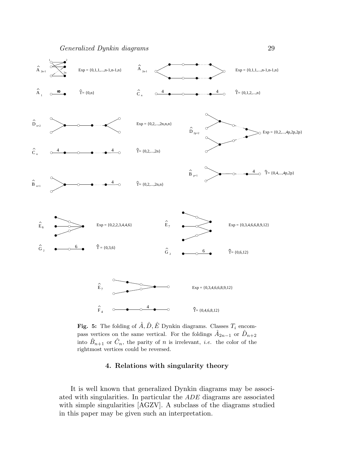

Fig. 5: The folding of  $\hat{A}, \hat{D}, \hat{E}$  Dynkin diagrams. Classes  $T_i$  encompass vertices on the same vertical. For the foldings  $\hat{A}_{2n-1}$  or  $\hat{D}_{n+2}$ into  $\hat{B}_{n+1}$  or  $\hat{C}_n$ , the parity of n is irrelevant, *i.e.* the color of the rightmost vertices could be reversed.

# 4. Relations with singularity theory

It is well known that generalized Dynkin diagrams may be associated with singularities. In particular the ADE diagrams are associated with simple singularities [AGZV]. A subclass of the diagrams studied in this paper may be given such an interpretation.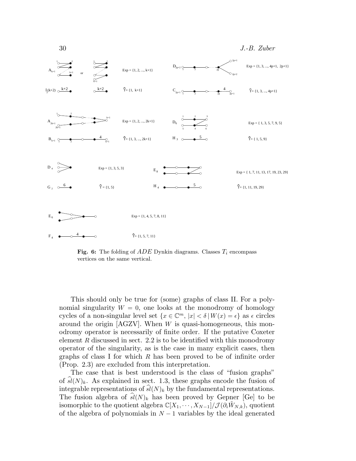

Fig. 6: The folding of  $ADE$  Dynkin diagrams. Classes  $T_i$  encompass vertices on the same vertical.

This should only be true for (some) graphs of class II. For a polynomial singularity  $W = 0$ , one looks at the monodromy of homology cycles of a non-singular level set  $\{x \in \mathbb{C}^m, |x| < \delta | W(x) = \epsilon\}$  as  $\epsilon$  circles around the origin [AGZV]. When W is quasi-homogeneous, this monodromy operator is necessarily of finite order. If the putative Coxeter element  $R$  discussed in sect. 2.2 is to be identified with this monodromy operator of the singularity, as is the case in many explicit cases, then graphs of class I for which R has been proved to be of infinite order (Prop. 2.3) are excluded from this interpretation.

The case that is best understood is the class of "fusion graphs" of  $\hat{sl}(N)_k$ . As explained in sect. 1.3, these graphs encode the fusion of integrable representations of  $sl(N)_k$  by the fundamental representations. The fusion algebra of  $\hat{sl}(N)_k$  has been proved by Gepner [Ge] to be isomorphic to the quotient algebra  $\mathbb{C}[X_1, \cdots, X_{N-1}]/\mathcal{J}(\partial_i \tilde{W}_{N,k}),$  quotient of the algebra of polynomials in  $N-1$  variables by the ideal generated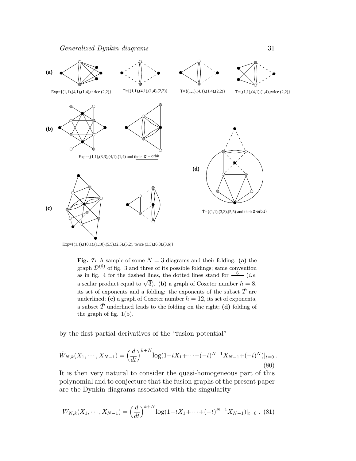

Fig. 7: A sample of some  $N = 3$  diagrams and their folding. (a) the graph  $\mathcal{D}^{(6)}$  of fig. 3 and three of its possible foldings; same convention as in fig. 4 for the dashed lines, the dotted lines stand for  $\frac{6}{6}$  (*i.e.* a scalar product equal to  $\sqrt{3}$ ). (b) a graph of Coxeter number  $h = 8$ , its set of exponents and a folding: the exponents of the subset  $\hat{T}$  are underlined; (c) a graph of Coxeter number  $h = 12$ , its set of exponents, a subset  $\hat{T}$  underlined leads to the folding on the right; (d) folding of the graph of fig. 1(b).

by the first partial derivatives of the "fusion potential"

$$
\tilde{W}_{N,k}(X_1,\cdots,X_{N-1}) = \left(\frac{d}{dt}\right)^{k+N} \log(1-tX_1+\cdots+(-t)^{N-1}X_{N-1}+(-t)^N)|_{t=0}.
$$
\n(80)

It is then very natural to consider the quasi-homogeneous part of this polynomial and to conjecture that the fusion graphs of the present paper are the Dynkin diagrams associated with the singularity

$$
W_{N,k}(X_1, \cdots, X_{N-1}) = \left(\frac{d}{dt}\right)^{k+N} \log(1 - tX_1 + \cdots + (-t)^{N-1}X_{N-1})|_{t=0}.
$$
 (81)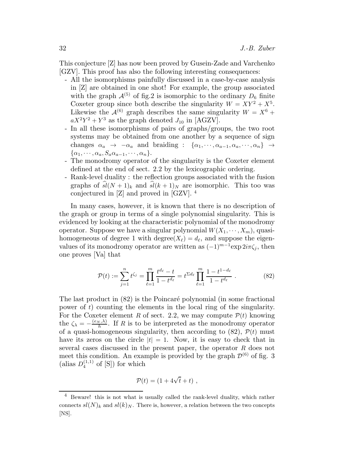This conjecture [Z] has now been proved by Gusein-Zade and Varchenko [GZV]. This proof has also the following interesting consequences:

- All the isomorphisms painfully discussed in a case-by-case analysis in [Z] are obtained in one shot! For example, the group associated with the graph  $\mathcal{A}^{(5)}$  of fig.2 is isomorphic to the ordinary  $D_6$  finite Coxeter group since both describe the singularity  $W = XY^2 + X^5$ . Likewise the  $\mathcal{A}^{(6)}$  graph describes the same singularity  $W = X^6 +$  $aX^2Y^2 + Y^3$  as the graph denoted  $J_{10}$  in [AGZV].
- In all these isomorphisms of pairs of graphs/groups, the two root systems may be obtained from one another by a sequence of sign changes  $\alpha_a \rightarrow -\alpha_a$  and braiding :  $\{\alpha_1, \dots, \alpha_{a-1}, \alpha_a, \dots, \alpha_n\}$   $\rightarrow$  ${\alpha_1, \cdots, \alpha_a, S_a \alpha_{a-1}, \cdots, \alpha_n}.$
- The monodromy operator of the singularity is the Coxeter element defined at the end of sect. 2.2 by the lexicographic ordering.
- Rank-level duality : the reflection groups associated with the fusion graphs of  $\hat{sl}(N + 1)_{k}$  and  $\hat{sl}(k + 1)_{N}$  are isomorphic. This too was conjectured in [Z] and proved in [GZV]. <sup>4</sup>

In many cases, however, it is known that there is no description of the graph or group in terms of a single polynomial singularity. This is evidenced by looking at the characteristic polynomial of the monodromy operator. Suppose we have a singular polynomial  $W(X_1, \dots, X_m)$ , quasihomogeneous of degree 1 with degree( $X_{\ell}$ ) =  $d_{\ell}$ , and suppose the eigenvalues of its monodromy operator are written as  $(-1)^{m-1}$ exp  $2i\pi\zeta_i$ , then one proves [Va] that

$$
\mathcal{P}(t) := \sum_{j=1}^{n} t^{\zeta_j} = \prod_{\ell=1}^{m} \frac{t^{d_\ell} - t}{1 - t^{d_\ell}} = t^{\sum d_\ell} \prod_{\ell=1}^{m} \frac{1 - t^{1 - d_\ell}}{1 - t^{d_\ell}}.
$$
 (82)

The last product in (82) is the Poincaré polynomial (in some fractional power of t) counting the elements in the local ring of the singularity. For the Coxeter element R of sect. 2.2, we may compute  $P(t)$  knowing the  $\zeta_{\lambda} = -\frac{(e_N, \lambda)}{h}$  $\frac{\partial \langle v, \lambda \rangle}{\partial h}$ . If R is to be interpreted as the monodromy operator of a quasi-homogeneous singularity, then according to  $(82)$ ,  $\mathcal{P}(t)$  must have its zeros on the circle  $|t| = 1$ . Now, it is easy to check that in several cases discussed in the present paper, the operator R does not meet this condition. An example is provided by the graph  $\mathcal{D}^{(6)}$  of fig. 3 (alias  $D_4^{(1,1)}$  of [S]) for which

$$
\mathcal{P}(t) = (1 + 4\sqrt{t} + t) ,
$$

<sup>4</sup> Beware! this is not what is usually called the rank-level duality, which rather connects  $sl(N)_k$  and  $sl(k)_N$ . There is, however, a relation between the two concepts [NS].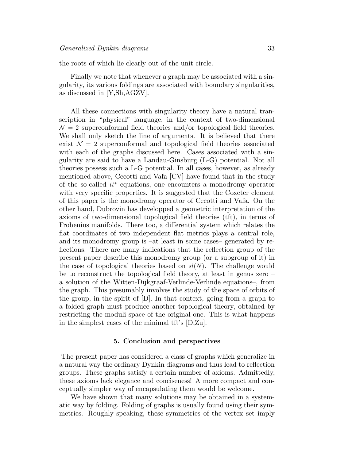the roots of which lie clearly out of the unit circle.

Finally we note that whenever a graph may be associated with a singularity, its various foldings are associated with boundary singularities, as discussed in [Y,Sh,AGZV].

All these connections with singularity theory have a natural transcription in "physical" language, in the context of two-dimensional  $\mathcal{N}=2$  superconformal field theories and/or topological field theories. We shall only sketch the line of arguments. It is believed that there exist  $\mathcal{N} = 2$  superconformal and topological field theories associated with each of the graphs discussed here. Cases associated with a singularity are said to have a Landau-Ginsburg (L-G) potential. Not all theories possess such a L-G potential. In all cases, however, as already mentioned above, Cecotti and Vafa [CV] have found that in the study of the so-called tt<sup>∗</sup> equations, one encounters a monodromy operator with very specific properties. It is suggested that the Coxeter element of this paper is the monodromy operator of Cecotti and Vafa. On the other hand, Dubrovin has developped a geometric interpretation of the axioms of two-dimensional topological field theories (tft), in terms of Frobenius manifolds. There too, a differential system which relates the flat coordinates of two independent flat metrics plays a central role, and its monodromy group is –at least in some cases– generated by reflections. There are many indications that the reflection group of the present paper describe this monodromy group (or a subgroup of it) in the case of topological theories based on  $sl(N)$ . The challenge would be to reconstruct the topological field theory, at least in genus zero – a solution of the Witten-Dijkgraaf-Verlinde-Verlinde equations–, from the graph. This presumably involves the study of the space of orbits of the group, in the spirit of [D]. In that context, going from a graph to a folded graph must produce another topological theory, obtained by restricting the moduli space of the original one. This is what happens in the simplest cases of the minimal tft's [D,Zu].

#### 5. Conclusion and perspectives

The present paper has considered a class of graphs which generalize in a natural way the ordinary Dynkin diagrams and thus lead to reflection groups. These graphs satisfy a certain number of axioms. Admittedly, these axioms lack elegance and conciseness! A more compact and conceptually simpler way of encapsulating them would be welcome.

We have shown that many solutions may be obtained in a systematic way by folding. Folding of graphs is usually found using their symmetries. Roughly speaking, these symmetries of the vertex set imply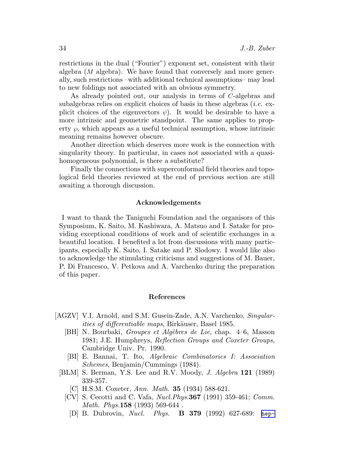restrictions in the dual ("Fourier") exponent set, consistent with their algebra (M algebra). We have found that conversely and more generally, such restrictions –with additional technical assumptions– may lead to new foldings not associated with an obvious symmetry.

As already pointed out, our analysis in terms of C-algebras and subalgebras relies on explicit choices of basis in these algebras (*i.e.* explicit choices of the eigenvectors  $\psi$ ). It would be desirable to have a more intrinsic and geometric standpoint. The same applies to property  $\wp$ , which appears as a useful technical assumption, whose intrinsic meaning remains however obscure.

Another direction which deserves more work is the connection with singularity theory. In particular, in cases not associated with a quasihomogeneous polynomial, is there a substitute?

Finally the connections with superconformal field theories and topological field theories reviewed at the end of previous section are still awaiting a thorough discussion.

#### Acknowledgements

I want to thank the Taniguchi Foundation and the organisors of this Symposium, K. Saito, M. Kashiwara, A. Matsuo and I. Satake for providing exceptional conditions of work and of scientific exchanges in a beautiful location. I benefited a lot from discussions with many participants, especially K. Saito, I. Satake and P. Slodowy. I would like also to acknowledge the stimulating criticisms and suggestions of M. Bauer, P. Di Francesco, V. Petkova and A. Varchenko during the preparation of this paper.

#### References

- [AGZV] V.I. Arnold, and S.M. Gusein-Zade, A.N. Varchenko, Singular*ities of differentiable maps*, Birkäuser, Basel 1985.
	- [BH] N. Bourbaki, *Groupes et Algèbres de Lie*, chap. 4–6, Masson 1981; J.E. Humphreys, Reflection Groups and Coxeter Groups, Cambridge Univ. Pr. 1990.
	- [BI] E. Bannai, T. Ito, Algebraic Combinatorics I: Association Schemes, Benjamin/Cummings (1984).
	- [BLM] S. Berman, Y.S. Lee and R.V. Moody, J. Algebra 121 (1989) 339-357.
		- [C] H.S.M. Coxeter, Ann. Math. **35** (1934) 588-621.
		- [CV] S. Cecotti and C. Vafa, Nucl.Phys.367 (1991) 359-461; Comm. Math. Phys.158 (1993) 569-644 .
			- [D] B. Dubrovin, Nucl. Phys. B 379 (1992) 627-689: [hep-](http://arxiv.org/abs/hep-th/9303152)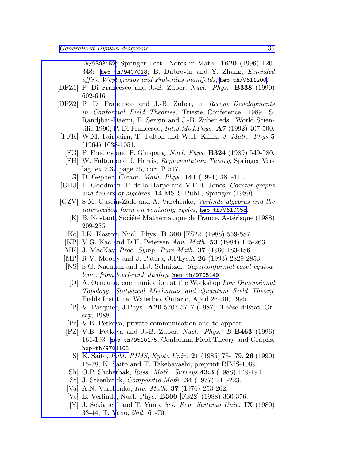th/9303152; Springer Lect. Notes in Math. 1620 (1996) 120- 348: [hep-th/9407018](http://arxiv.org/abs/hep-th/9407018); B. Dubrovin and Y. Zhang, Extended affine Weyl groups and Frobenius manifolds, [hep-th/9611200](http://arxiv.org/abs/hep-th/9611200).

- [\[DFZ1\] P. Di Fran](http://arxiv.org/abs/hep-th/9303152)cesco and J.-B. Zuber, Nucl. Phys. B338 (1990) 602-646.
- [DFZ2] P. Di Francesco and J.-B. Zuber, in Recent Developments in Conformal Field Theories, Trieste Conference, 1989, S. Randjbar-Daemi, E. Sezgin and J.-B. Zuber eds., World Scientific 1990; P. Di Francesco, Int.J.Mod.Phys. A7 (1992) 407-500.
- [FFK] W.M. Fairbairn, T. Fulton and W.H. Klink, J. Math. Phys 5 (1964) 1038-1051.
	- [FG] P. Fendley and P. Ginsparg, Nucl. Phys. B324 (1989) 549-580.
	- [FH] W. Fulton and J. Harris, Representation Theory, Springer Verlag, ex 2.37 page 25, corr P 517.
		- [G] D. Gepner, Comm. Math. Phys. 141 (1991) 381-411.
- [GHJ] F. Goodman, P. de la Harpe and V.F.R. Jones, Coxeter graphs and towers of algebras, 14 MSRI Publ., Springer (1989).
- [GZV] S.M. Gusein-Zade and A. Varchenko, Verlinde algebras and the intersection form on vanishing cycles, [hep-th/9610058](http://arxiv.org/abs/hep-th/9610058).
	- [K] B. Kostant, Société Mathématique de France, Astérisque (1988) 209-255.
	- [Ko] I.K. Kostov, Nucl. Phys. **B 300** [FS22] (1988) 559-587.
	- [KP] V.G. Kac and D.H. Petersen Adv. Math. **53** (1984) 125-263.
- [MK] J. MacKay, *Proc. Symp. Pure Math.* **37** (1980 183-186.
- [MP] R.V. Moody and J. Patera, J.Phys.A **26** (1993) 2829-2853.
- [NS] S.G. Naculich and H.J. Schnitzer, Superconformal coset equivalence from level-rank duality, [hep-th/9705149](http://arxiv.org/abs/hep-th/9705149).
	- [O] A. Ocneanu, communication at the Workshop Low Dimensional Topology, Statistical Mechanics and Quantum Field Theory, Fields Institute, Waterloo, Ontario, April 26–30, 1995.
- [P] V. Pasquier, J.Phys.  $\bf{A20}$  5707-5717 (1987); Thèse d'Etat, Orsay, 1988.
- [Pe] V.B. Petkova, private communication and to appear.
- [PZ] V.B. Petkova and J.-B. Zuber, *Nucl. Phys. B* **B463** (1996) 161-193: [hep-th/9510175](http://arxiv.org/abs/hep-th/9510175); Conformal Field Theory and Graphs, [hep-th/9701103](http://arxiv.org/abs/hep-th/9701103).
- [S] K. Saito, Publ. RIMS, Kyoto Univ. 21 (1985) 75-179, 26 (1990) 15-78; K. Saito and T. Takebayashi, preprint RIMS-1089.
- [Sh] O.P. Shcherbak, *Russ. Math. Surveys* **43:3** (1988) 149-194.
- [St] J. Steenbrink, Compositio Math. 34 (1977) 211-223.
- [Va] A.N. Varchenko, Inv. Math. 37 (1976) 253-262.
- [Ve] E. Verlinde, Nucl. Phys. B300 [FS22] (1988) 360-376.
- [Y] J. Sekiguchi and T. Yano, Sci. Rep. Saitama Univ. IX (1980) 33-44; T. Yano, ibid. 61-70.